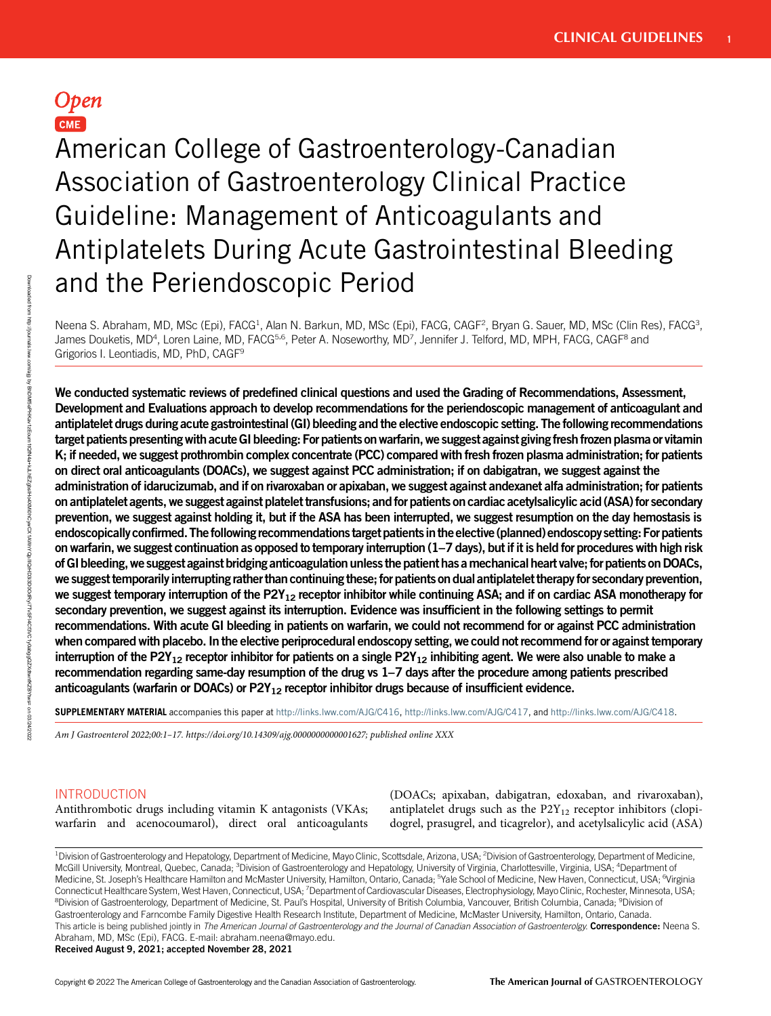# Open CME

American College of Gastroenterology-Canadian Association of Gastroenterology Clinical Practice Guideline: Management of Anticoagulants and Antiplatelets During Acute Gastrointestinal Bleeding and the Periendoscopic Period

Neena S. Abraham, MD, MSc (Epi), FACG<sup>1</sup>, Alan N. Barkun, MD, MSc (Epi), FACG, CAGF<sup>2</sup>, Bryan G. Sauer, MD, MSc (Clin Res), FACG<sup>3</sup>, James Douketis, MD<sup>4</sup>, Loren Laine, MD, FACG<sup>5,6</sup>, Peter A. Noseworthy, MD<sup>7</sup>, Jennifer J. Telford, MD, MPH, FACG, CAGF<sup>8</sup> and Grigorios I. Leontiadis, MD, PhD, CAGF9

We conducted systematic reviews of predefined clinical questions and used the Grading of Recommendations, Assessment, Development and Evaluations approach to develop recommendations for the periendoscopic management of anticoagulant and antiplatelet drugs during acute gastrointestinal (GI) bleeding and the elective endoscopic setting. The following recommendations target patients presenting with acute GI bleeding: For patients on warfarin, we suggest against giving fresh frozen plasma or vitamin K; if needed, we suggest prothrombin complex concentrate (PCC) compared with fresh frozen plasma administration; for patients on direct oral anticoagulants (DOACs), we suggest against PCC administration; if on dabigatran, we suggest against the administration of idarucizumab, and if on rivaroxaban or apixaban, we suggest against andexanet alfa administration; for patients on antiplatelet agents, we suggest against platelet transfusions; and for patients on cardiac acetylsalicylic acid (ASA) for secondary prevention, we suggest against holding it, but if the ASA has been interrupted, we suggest resumption on the day hemostasis is endoscopically confirmed. The following recommendations target patientsin the elective (planned) endoscopy setting: For patients on warfarin, we suggest continuation as opposed to temporary interruption (1–7 days), but if it is held for procedures with high risk ofGI bleeding,we suggest against bridging anticoagulation unless the patient has amechanical heart valve; for patients onDOACs, we suggest temporarilyinterrupting rather than continuing these; for patients on dualantiplatelet therapy for secondary prevention, we suggest temporary interruption of the P2Y<sub>12</sub> receptor inhibitor while continuing ASA; and if on cardiac ASA monotherapy for secondary prevention, we suggest against its interruption. Evidence was insufficient in the following settings to permit recommendations. With acute GI bleeding in patients on warfarin, we could not recommend for or against PCC administration when compared with placebo. In the elective periprocedural endoscopy setting, we could not recommend for or against temporary interruption of the P2Y<sub>12</sub> receptor inhibitor for patients on a single P2Y<sub>12</sub> inhibiting agent. We were also unable to make a recommendation regarding same-day resumption of the drug vs 1–7 days after the procedure among patients prescribed anticoagulants (warfarin or DOACs) or  $P2Y_{12}$  receptor inhibitor drugs because of insufficient evidence.

SUPPLEMENTARY MATERIAL accompanies this paper at [http://links.lww.com/AJG/C416,](http://links.lww.com/AJG/C416) <http://links.lww.com/AJG/C417>, and [http://links.lww.com/AJG/C418.](http://links.lww.com/AJG/C418)

Am J Gastroenterol 2022;00:1–17. [https://doi.org/10.14309/ajg.0000000000001627;](https://doi.org/10.14309/ajg.0000000000001627) published online XXX

## INTRODUCTION

Antithrombotic drugs including vitamin K antagonists (VKAs; warfarin and acenocoumarol), direct oral anticoagulants (DOACs; apixaban, dabigatran, edoxaban, and rivaroxaban), antiplatelet drugs such as the  $P2Y_{12}$  receptor inhibitors (clopidogrel, prasugrel, and ticagrelor), and acetylsalicylic acid (ASA)

<sup>1</sup>Division of Gastroenterology and Hepatology, Department of Medicine, Mayo Clinic, Scottsdale, Arizona, USA; <sup>2</sup>Division of Gastroenterology, Department of Medicine, McGill University, Montreal, Quebec, Canada; <sup>3</sup>Division of Gastroenterology and Hepatology, University of Virginia, Charlottesville, Virginia, USA; <sup>4</sup>Department of Medicine, St. Joseph's Healthcare Hamilton and McMaster University, Hamilton, Ontario, Canada; <sup>5</sup>Yale School of Medicine, New Haven, Connecticut, USA; <sup>6</sup>Virginia Connecticut Healthcare System, West Haven, Connecticut, USA; <sup>7</sup>Department of Cardiovascular Diseases, Electrophysiology, Mayo Clinic, Rochester, Minnesota, USA; <sup>8</sup>Division of Gastroenterology, Department of Medicine, St. Paul's Hospital, University of British Columbia, Vancouver, British Columbia, Canada; <sup>9</sup>Division of Gastroenterology and Farncombe Family Digestive Health Research Institute, Department of Medicine, McMaster University, Hamilton, Ontario, Canada. This article is being published jointly in The American Journal of Gastroenterology and the Journal of Canadian Association of Gastroenterolgy. Correspondence: Neena S. Abraham, MD, MSc (Epi), FACG. E-mail: [abraham.neena@mayo.edu](mailto:abraham.neena@mayo.edu).

## Received August 9, 2021; accepted November 28, 2021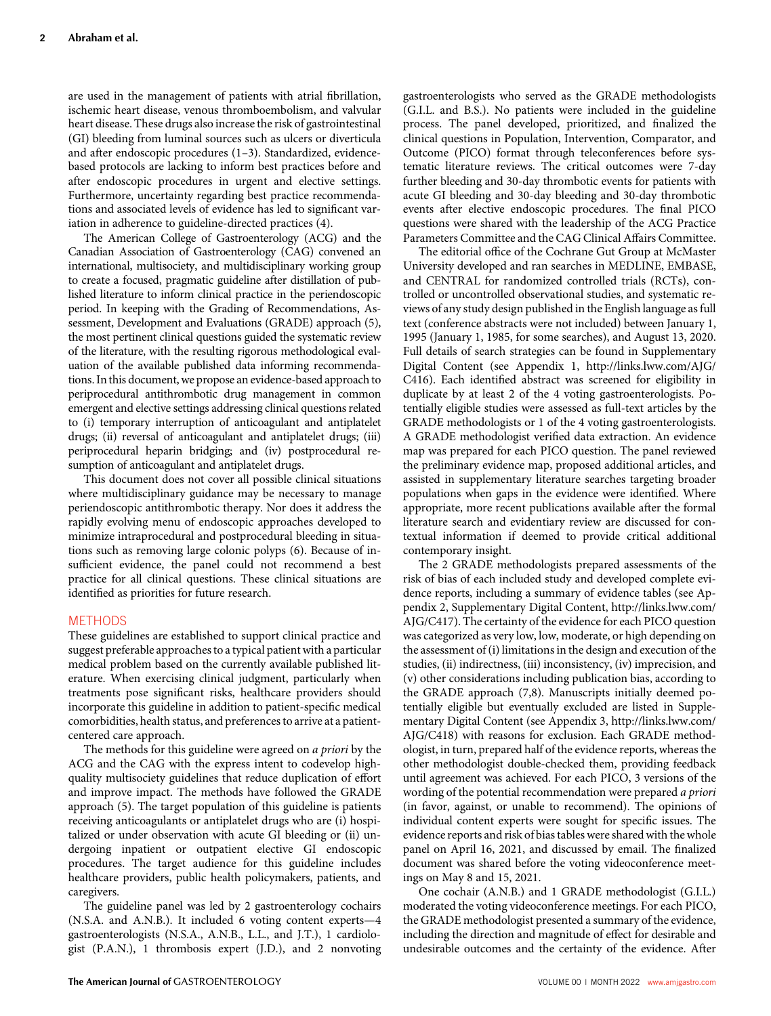are used in the management of patients with atrial fibrillation, ischemic heart disease, venous thromboembolism, and valvular heart disease. These drugs also increase the risk of gastrointestinal (GI) bleeding from luminal sources such as ulcers or diverticula and after endoscopic procedures (1–3). Standardized, evidencebased protocols are lacking to inform best practices before and after endoscopic procedures in urgent and elective settings. Furthermore, uncertainty regarding best practice recommendations and associated levels of evidence has led to significant variation in adherence to guideline-directed practices (4).

The American College of Gastroenterology (ACG) and the Canadian Association of Gastroenterology (CAG) convened an international, multisociety, and multidisciplinary working group to create a focused, pragmatic guideline after distillation of published literature to inform clinical practice in the periendoscopic period. In keeping with the Grading of Recommendations, Assessment, Development and Evaluations (GRADE) approach (5), the most pertinent clinical questions guided the systematic review of the literature, with the resulting rigorous methodological evaluation of the available published data informing recommendations. In this document, we propose an evidence-based approach to periprocedural antithrombotic drug management in common emergent and elective settings addressing clinical questions related to (i) temporary interruption of anticoagulant and antiplatelet drugs; (ii) reversal of anticoagulant and antiplatelet drugs; (iii) periprocedural heparin bridging; and (iv) postprocedural resumption of anticoagulant and antiplatelet drugs.

This document does not cover all possible clinical situations where multidisciplinary guidance may be necessary to manage periendoscopic antithrombotic therapy. Nor does it address the rapidly evolving menu of endoscopic approaches developed to minimize intraprocedural and postprocedural bleeding in situations such as removing large colonic polyps (6). Because of insufficient evidence, the panel could not recommend a best practice for all clinical questions. These clinical situations are identified as priorities for future research.

## METHODS

These guidelines are established to support clinical practice and suggest preferable approaches to a typical patient with a particular medical problem based on the currently available published literature. When exercising clinical judgment, particularly when treatments pose significant risks, healthcare providers should incorporate this guideline in addition to patient-specific medical comorbidities, health status, and preferences to arrive at a patientcentered care approach.

The methods for this guideline were agreed on *a priori* by the ACG and the CAG with the express intent to codevelop highquality multisociety guidelines that reduce duplication of effort and improve impact. The methods have followed the GRADE approach (5). The target population of this guideline is patients receiving anticoagulants or antiplatelet drugs who are (i) hospitalized or under observation with acute GI bleeding or (ii) undergoing inpatient or outpatient elective GI endoscopic procedures. The target audience for this guideline includes healthcare providers, public health policymakers, patients, and caregivers.

The guideline panel was led by 2 gastroenterology cochairs (N.S.A. and A.N.B.). It included 6 voting content experts—4 gastroenterologists (N.S.A., A.N.B., L.L., and J.T.), 1 cardiologist (P.A.N.), 1 thrombosis expert (J.D.), and 2 nonvoting gastroenterologists who served as the GRADE methodologists (G.I.L. and B.S.). No patients were included in the guideline process. The panel developed, prioritized, and finalized the clinical questions in Population, Intervention, Comparator, and Outcome (PICO) format through teleconferences before systematic literature reviews. The critical outcomes were 7-day further bleeding and 30-day thrombotic events for patients with acute GI bleeding and 30-day bleeding and 30-day thrombotic events after elective endoscopic procedures. The final PICO questions were shared with the leadership of the ACG Practice Parameters Committee and the CAG Clinical Affairs Committee.

The editorial office of the Cochrane Gut Group at McMaster University developed and ran searches in MEDLINE, EMBASE, and CENTRAL for randomized controlled trials (RCTs), controlled or uncontrolled observational studies, and systematic reviews of any study design published in the English language as full text (conference abstracts were not included) between January 1, 1995 (January 1, 1985, for some searches), and August 13, 2020. Full details of search strategies can be found in Supplementary Digital Content (see Appendix 1, [http://links.lww.com/AJG/](http://links.lww.com/AJG/C416) [C416](http://links.lww.com/AJG/C416)). Each identified abstract was screened for eligibility in duplicate by at least 2 of the 4 voting gastroenterologists. Potentially eligible studies were assessed as full-text articles by the GRADE methodologists or 1 of the 4 voting gastroenterologists. A GRADE methodologist verified data extraction. An evidence map was prepared for each PICO question. The panel reviewed the preliminary evidence map, proposed additional articles, and assisted in supplementary literature searches targeting broader populations when gaps in the evidence were identified. Where appropriate, more recent publications available after the formal literature search and evidentiary review are discussed for contextual information if deemed to provide critical additional contemporary insight.

The 2 GRADE methodologists prepared assessments of the risk of bias of each included study and developed complete evidence reports, including a summary of evidence tables (see Appendix 2, Supplementary Digital Content, [http://links.lww.com/](http://links.lww.com/AJG/C417) [AJG/C417\)](http://links.lww.com/AJG/C417). The certainty of the evidence for each PICO question was categorized as very low, low, moderate, or high depending on the assessment of (i) limitations in the design and execution of the studies, (ii) indirectness, (iii) inconsistency, (iv) imprecision, and (v) other considerations including publication bias, according to the GRADE approach (7,8). Manuscripts initially deemed potentially eligible but eventually excluded are listed in Supplementary Digital Content (see Appendix 3, [http://links.lww.com/](http://links.lww.com/AJG/C418) [AJG/C418\)](http://links.lww.com/AJG/C418) with reasons for exclusion. Each GRADE methodologist, in turn, prepared half of the evidence reports, whereas the other methodologist double-checked them, providing feedback until agreement was achieved. For each PICO, 3 versions of the wording of the potential recommendation were prepared a priori (in favor, against, or unable to recommend). The opinions of individual content experts were sought for specific issues. The evidence reports and risk of bias tables were shared with the whole panel on April 16, 2021, and discussed by email. The finalized document was shared before the voting videoconference meetings on May 8 and 15, 2021.

One cochair (A.N.B.) and 1 GRADE methodologist (G.I.L.) moderated the voting videoconference meetings. For each PICO, the GRADE methodologist presented a summary of the evidence, including the direction and magnitude of effect for desirable and undesirable outcomes and the certainty of the evidence. After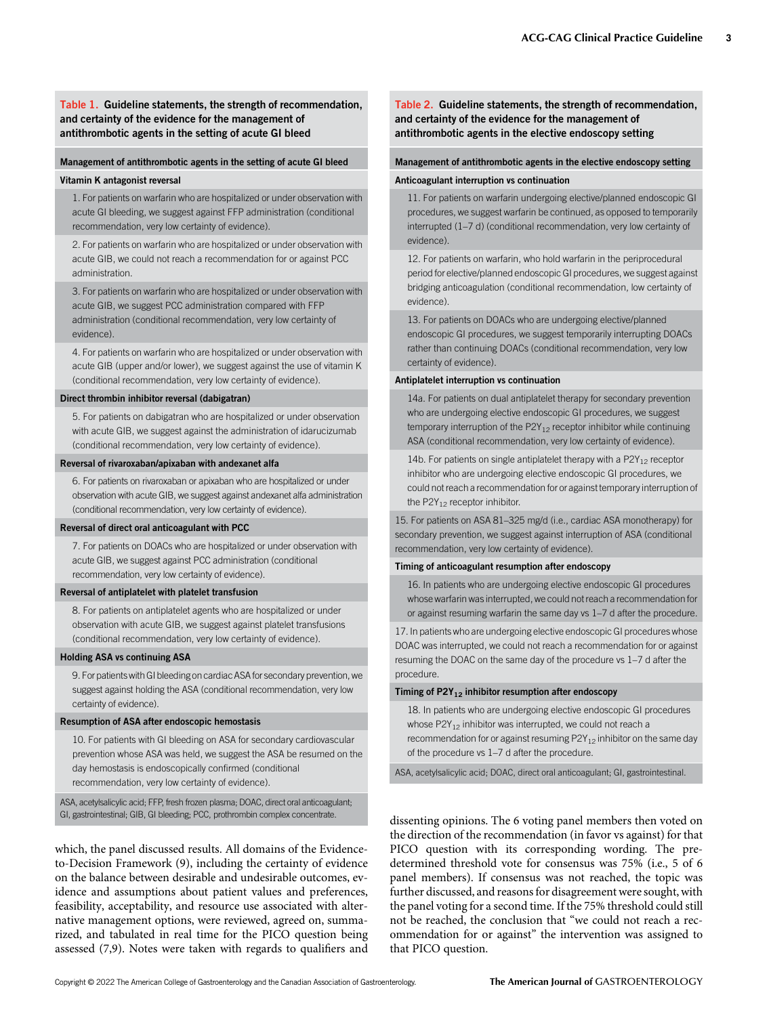## Table 1. Guideline statements, the strength of recommendation, and certainty of the evidence for the management of antithrombotic agents in the setting of acute GI bleed

#### Management of antithrombotic agents in the setting of acute GI bleed

#### Vitamin K antagonist reversal

1. For patients on warfarin who are hospitalized or under observation with acute GI bleeding, we suggest against FFP administration (conditional recommendation, very low certainty of evidence).

2. For patients on warfarin who are hospitalized or under observation with acute GIB, we could not reach a recommendation for or against PCC administration.

3. For patients on warfarin who are hospitalized or under observation with acute GIB, we suggest PCC administration compared with FFP administration (conditional recommendation, very low certainty of evidence).

4. For patients on warfarin who are hospitalized or under observation with acute GIB (upper and/or lower), we suggest against the use of vitamin K (conditional recommendation, very low certainty of evidence).

#### Direct thrombin inhibitor reversal (dabigatran)

5. For patients on dabigatran who are hospitalized or under observation with acute GIB, we suggest against the administration of idarucizumab (conditional recommendation, very low certainty of evidence).

#### Reversal of rivaroxaban/apixaban with andexanet alfa

6. For patients on rivaroxaban or apixaban who are hospitalized or under observation with acute GIB, we suggest against andexanet alfa administration (conditional recommendation, very low certainty of evidence).

#### Reversal of direct oral anticoagulant with PCC

7. For patients on DOACs who are hospitalized or under observation with acute GIB, we suggest against PCC administration (conditional recommendation, very low certainty of evidence).

#### Reversal of antiplatelet with platelet transfusion

8. For patients on antiplatelet agents who are hospitalized or under observation with acute GIB, we suggest against platelet transfusions (conditional recommendation, very low certainty of evidence).

#### Holding ASA vs continuing ASA

9. For patientswithGI bleeding on cardiac ASA for secondary prevention, we suggest against holding the ASA (conditional recommendation, very low certainty of evidence).

#### Resumption of ASA after endoscopic hemostasis

10. For patients with GI bleeding on ASA for secondary cardiovascular prevention whose ASA was held, we suggest the ASA be resumed on the day hemostasis is endoscopically confirmed (conditional recommendation, very low certainty of evidence).

ASA, acetylsalicylic acid; FFP, fresh frozen plasma; DOAC, direct oral anticoagulant; GI, gastrointestinal; GIB, GI bleeding; PCC, prothrombin complex concentrate.

which, the panel discussed results. All domains of the Evidenceto-Decision Framework (9), including the certainty of evidence on the balance between desirable and undesirable outcomes, evidence and assumptions about patient values and preferences, feasibility, acceptability, and resource use associated with alternative management options, were reviewed, agreed on, summarized, and tabulated in real time for the PICO question being assessed (7,9). Notes were taken with regards to qualifiers and

## Table 2. Guideline statements, the strength of recommendation, and certainty of the evidence for the management of antithrombotic agents in the elective endoscopy setting

#### Management of antithrombotic agents in the elective endoscopy setting

#### Anticoagulant interruption vs continuation

11. For patients on warfarin undergoing elective/planned endoscopic GI procedures, we suggest warfarin be continued, as opposed to temporarily interrupted (1–7 d) (conditional recommendation, very low certainty of evidence).

12. For patients on warfarin, who hold warfarin in the periprocedural period for elective/planned endoscopic GI procedures, we suggest against bridging anticoagulation (conditional recommendation, low certainty of evidence).

13. For patients on DOACs who are undergoing elective/planned endoscopic GI procedures, we suggest temporarily interrupting DOACs rather than continuing DOACs (conditional recommendation, very low certainty of evidence).

#### Antiplatelet interruption vs continuation

14a. For patients on dual antiplatelet therapy for secondary prevention who are undergoing elective endoscopic GI procedures, we suggest temporary interruption of the  $P2Y_{12}$  receptor inhibitor while continuing ASA (conditional recommendation, very low certainty of evidence).

14b. For patients on single antiplatelet therapy with a  $P2Y_{12}$  receptor inhibitor who are undergoing elective endoscopic GI procedures, we could not reach a recommendation for or against temporary interruption of the  $P2Y_{12}$  receptor inhibitor.

15. For patients on ASA 81–325 mg/d (i.e., cardiac ASA monotherapy) for secondary prevention, we suggest against interruption of ASA (conditional recommendation, very low certainty of evidence).

#### Timing of anticoagulant resumption after endoscopy

16. In patients who are undergoing elective endoscopic GI procedures whose warfarin was interrupted, we could not reach a recommendation for or against resuming warfarin the same day vs 1–7 d after the procedure.

17. In patients who are undergoing elective endoscopic GI procedures whose DOAC was interrupted, we could not reach a recommendation for or against resuming the DOAC on the same day of the procedure vs 1–7 d after the procedure.

## Timing of P2Y $_{12}$  inhibitor resumption after endoscopy

18. In patients who are undergoing elective endoscopic GI procedures whose  $P2Y_{12}$  inhibitor was interrupted, we could not reach a recommendation for or against resuming P2Y<sub>12</sub> inhibitor on the same day of the procedure vs 1–7 d after the procedure.

ASA, acetylsalicylic acid; DOAC, direct oral anticoagulant; GI, gastrointestinal.

dissenting opinions. The 6 voting panel members then voted on the direction of the recommendation (in favor vs against) for that PICO question with its corresponding wording. The predetermined threshold vote for consensus was 75% (i.e., 5 of 6 panel members). If consensus was not reached, the topic was further discussed, and reasons for disagreement were sought, with the panel voting for a second time. If the 75% threshold could still not be reached, the conclusion that "we could not reach a recommendation for or against" the intervention was assigned to that PICO question.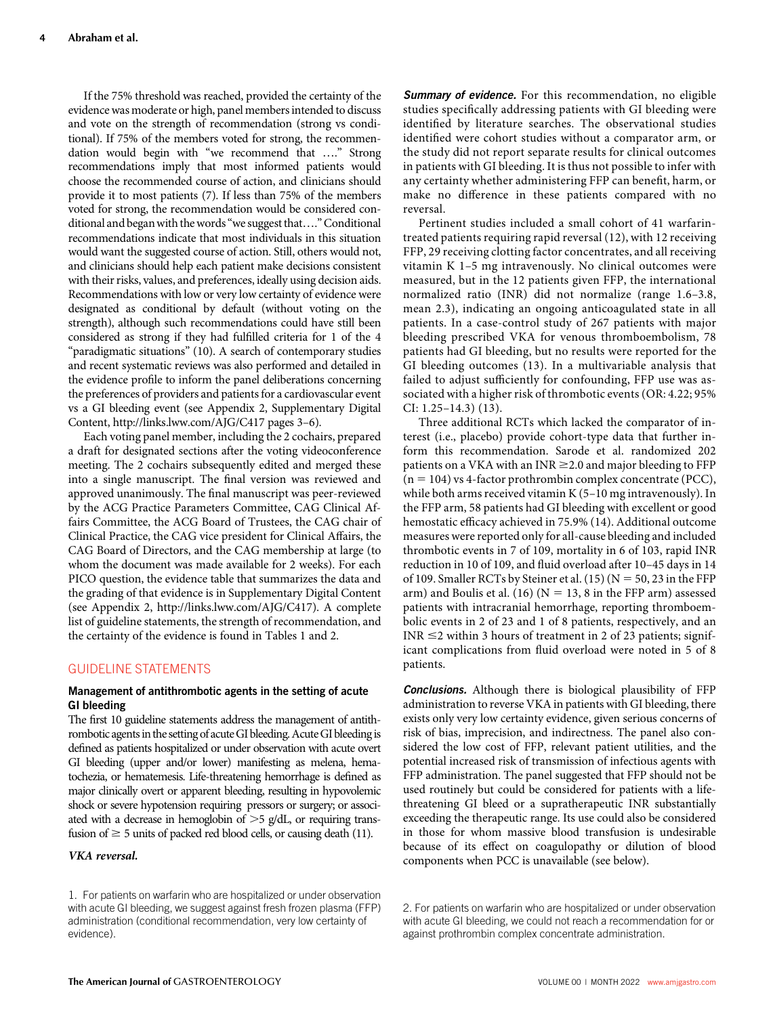If the 75% threshold was reached, provided the certainty of the evidence was moderate or high, panel members intended to discuss and vote on the strength of recommendation (strong vs conditional). If 75% of the members voted for strong, the recommendation would begin with "we recommend that …." Strong recommendations imply that most informed patients would choose the recommended course of action, and clinicians should provide it to most patients (7). If less than 75% of the members voted for strong, the recommendation would be considered conditional and beganwith the words"we suggest that…."Conditional recommendations indicate that most individuals in this situation would want the suggested course of action. Still, others would not, and clinicians should help each patient make decisions consistent with their risks, values, and preferences, ideally using decision aids. Recommendations with low or very low certainty of evidence were designated as conditional by default (without voting on the strength), although such recommendations could have still been considered as strong if they had fulfilled criteria for 1 of the 4 "paradigmatic situations" (10). A search of contemporary studies and recent systematic reviews was also performed and detailed in the evidence profile to inform the panel deliberations concerning the preferences of providers and patients for a cardiovascular event vs a GI bleeding event (see Appendix 2, Supplementary Digital Content,<http://links.lww.com/AJG/C417> pages 3–6).

Each voting panel member, including the 2 cochairs, prepared a draft for designated sections after the voting videoconference meeting. The 2 cochairs subsequently edited and merged these into a single manuscript. The final version was reviewed and approved unanimously. The final manuscript was peer-reviewed by the ACG Practice Parameters Committee, CAG Clinical Affairs Committee, the ACG Board of Trustees, the CAG chair of Clinical Practice, the CAG vice president for Clinical Affairs, the CAG Board of Directors, and the CAG membership at large (to whom the document was made available for 2 weeks). For each PICO question, the evidence table that summarizes the data and the grading of that evidence is in Supplementary Digital Content (see Appendix 2, [http://links.lww.com/AJG/C417\)](http://links.lww.com/AJG/C417). A complete list of guideline statements, the strength of recommendation, and the certainty of the evidence is found in Tables 1 and 2.

## GUIDELINE STATEMENTS

## Management of antithrombotic agents in the setting of acute GI bleeding

The first 10 guideline statements address the management of antithrombotic agents in the setting of acute GI bleeding. Acute GI bleeding is defined as patients hospitalized or under observation with acute overt GI bleeding (upper and/or lower) manifesting as melena, hematochezia, or hematemesis. Life-threatening hemorrhage is defined as major clinically overt or apparent bleeding, resulting in hypovolemic shock or severe hypotension requiring pressors or surgery; or associated with a decrease in hemoglobin of  $>5$  g/dL, or requiring transfusion of  $\geq$  5 units of packed red blood cells, or causing death (11).

## VKA reversal.

Summary of evidence. For this recommendation, no eligible studies specifically addressing patients with GI bleeding were identified by literature searches. The observational studies identified were cohort studies without a comparator arm, or the study did not report separate results for clinical outcomes in patients with GI bleeding. It is thus not possible to infer with any certainty whether administering FFP can benefit, harm, or make no difference in these patients compared with no reversal.

Pertinent studies included a small cohort of 41 warfarintreated patients requiring rapid reversal (12), with 12 receiving FFP, 29 receiving clotting factor concentrates, and all receiving vitamin K 1–5 mg intravenously. No clinical outcomes were measured, but in the 12 patients given FFP, the international normalized ratio (INR) did not normalize (range 1.6–3.8, mean 2.3), indicating an ongoing anticoagulated state in all patients. In a case-control study of 267 patients with major bleeding prescribed VKA for venous thromboembolism, 78 patients had GI bleeding, but no results were reported for the GI bleeding outcomes (13). In a multivariable analysis that failed to adjust sufficiently for confounding, FFP use was associated with a higher risk of thrombotic events (OR: 4.22; 95% CI: 1.25–14.3) (13).

Three additional RCTs which lacked the comparator of interest (i.e., placebo) provide cohort-type data that further inform this recommendation. Sarode et al. randomized 202 patients on a VKA with an INR  $\geq$  2.0 and major bleeding to FFP  $(n = 104)$  vs 4-factor prothrombin complex concentrate (PCC), while both arms received vitamin K (5–10 mg intravenously). In the FFP arm, 58 patients had GI bleeding with excellent or good hemostatic efficacy achieved in 75.9% (14). Additional outcome measures were reported only for all-cause bleeding and included thrombotic events in 7 of 109, mortality in 6 of 103, rapid INR reduction in 10 of 109, and fluid overload after 10–45 days in 14 of 109. Smaller RCTs by Steiner et al.  $(15)$  (N = 50, 23 in the FFP arm) and Boulis et al. (16) ( $N = 13$ , 8 in the FFP arm) assessed patients with intracranial hemorrhage, reporting thromboembolic events in 2 of 23 and 1 of 8 patients, respectively, and an  $INR \leq 2$  within 3 hours of treatment in 2 of 23 patients; significant complications from fluid overload were noted in 5 of 8 patients.

**Conclusions.** Although there is biological plausibility of FFP administration to reverse VKA in patients with GI bleeding, there exists only very low certainty evidence, given serious concerns of risk of bias, imprecision, and indirectness. The panel also considered the low cost of FFP, relevant patient utilities, and the potential increased risk of transmission of infectious agents with FFP administration. The panel suggested that FFP should not be used routinely but could be considered for patients with a lifethreatening GI bleed or a supratherapeutic INR substantially exceeding the therapeutic range. Its use could also be considered in those for whom massive blood transfusion is undesirable because of its effect on coagulopathy or dilution of blood components when PCC is unavailable (see below).

#### 2. For patients on warfarin who are hospitalized or under observation with acute GI bleeding, we could not reach a recommendation for or against prothrombin complex concentrate administration.

<sup>1.</sup> For patients on warfarin who are hospitalized or under observation with acute GI bleeding, we suggest against fresh frozen plasma (FFP) administration (conditional recommendation, very low certainty of evidence).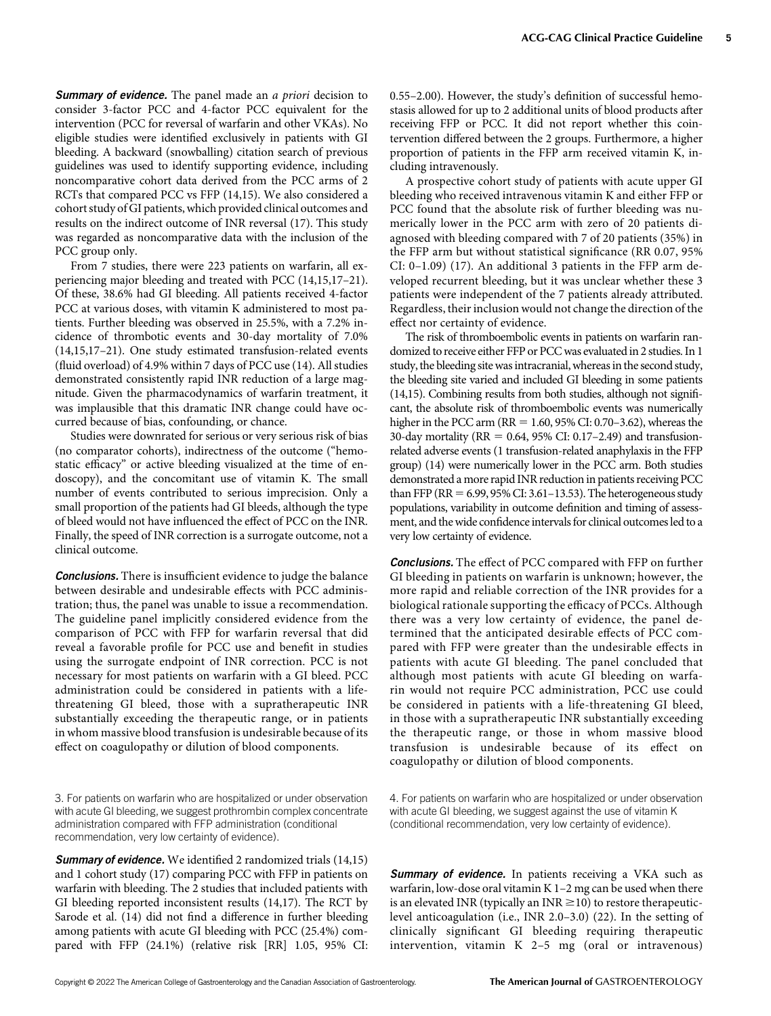**Summary of evidence.** The panel made an *a priori* decision to consider 3-factor PCC and 4-factor PCC equivalent for the intervention (PCC for reversal of warfarin and other VKAs). No eligible studies were identified exclusively in patients with GI bleeding. A backward (snowballing) citation search of previous guidelines was used to identify supporting evidence, including noncomparative cohort data derived from the PCC arms of 2 RCTs that compared PCC vs FFP (14,15). We also considered a cohort study of GI patients, which provided clinical outcomes and results on the indirect outcome of INR reversal (17). This study was regarded as noncomparative data with the inclusion of the PCC group only.

From 7 studies, there were 223 patients on warfarin, all experiencing major bleeding and treated with PCC (14,15,17–21). Of these, 38.6% had GI bleeding. All patients received 4-factor PCC at various doses, with vitamin K administered to most patients. Further bleeding was observed in 25.5%, with a 7.2% incidence of thrombotic events and 30-day mortality of 7.0% (14,15,17–21). One study estimated transfusion-related events (fluid overload) of 4.9% within 7 days of PCC use (14). All studies demonstrated consistently rapid INR reduction of a large magnitude. Given the pharmacodynamics of warfarin treatment, it was implausible that this dramatic INR change could have occurred because of bias, confounding, or chance.

Studies were downrated for serious or very serious risk of bias (no comparator cohorts), indirectness of the outcome ("hemostatic efficacy" or active bleeding visualized at the time of endoscopy), and the concomitant use of vitamin K. The small number of events contributed to serious imprecision. Only a small proportion of the patients had GI bleeds, although the type of bleed would not have influenced the effect of PCC on the INR. Finally, the speed of INR correction is a surrogate outcome, not a clinical outcome.

**Conclusions.** There is insufficient evidence to judge the balance between desirable and undesirable effects with PCC administration; thus, the panel was unable to issue a recommendation. The guideline panel implicitly considered evidence from the comparison of PCC with FFP for warfarin reversal that did reveal a favorable profile for PCC use and benefit in studies using the surrogate endpoint of INR correction. PCC is not necessary for most patients on warfarin with a GI bleed. PCC administration could be considered in patients with a lifethreatening GI bleed, those with a supratherapeutic INR substantially exceeding the therapeutic range, or in patients in whom massive blood transfusion is undesirable because of its effect on coagulopathy or dilution of blood components.

Summary of evidence. We identified 2 randomized trials (14,15) and 1 cohort study (17) comparing PCC with FFP in patients on warfarin with bleeding. The 2 studies that included patients with GI bleeding reported inconsistent results (14,17). The RCT by Sarode et al. (14) did not find a difference in further bleeding among patients with acute GI bleeding with PCC (25.4%) compared with FFP (24.1%) (relative risk [RR] 1.05, 95% CI: 0.55–2.00). However, the study's definition of successful hemostasis allowed for up to 2 additional units of blood products after receiving FFP or PCC. It did not report whether this cointervention differed between the 2 groups. Furthermore, a higher proportion of patients in the FFP arm received vitamin K, including intravenously.

A prospective cohort study of patients with acute upper GI bleeding who received intravenous vitamin K and either FFP or PCC found that the absolute risk of further bleeding was numerically lower in the PCC arm with zero of 20 patients diagnosed with bleeding compared with 7 of 20 patients (35%) in the FFP arm but without statistical significance (RR 0.07, 95% CI: 0–1.09) (17). An additional 3 patients in the FFP arm developed recurrent bleeding, but it was unclear whether these 3 patients were independent of the 7 patients already attributed. Regardless, their inclusion would not change the direction of the effect nor certainty of evidence.

The risk of thromboembolic events in patients on warfarin randomized to receive either FFP or PCC was evaluated in 2 studies. In 1 study, the bleeding site was intracranial, whereas in the second study, the bleeding site varied and included GI bleeding in some patients (14,15). Combining results from both studies, although not significant, the absolute risk of thromboembolic events was numerically higher in the PCC arm (RR =  $1.60$ , 95% CI: 0.70–3.62), whereas the 30-day mortality ( $RR = 0.64$ , 95% CI: 0.17–2.49) and transfusionrelated adverse events (1 transfusion-related anaphylaxis in the FFP group) (14) were numerically lower in the PCC arm. Both studies demonstrated a more rapid INR reduction in patients receiving PCC than FFP ( $RR = 6.99$ ,  $95\%$  CI: 3.61–13.53). The heterogeneous study populations, variability in outcome definition and timing of assessment, and the wide confidence intervals for clinical outcomes led to a very low certainty of evidence.

**Conclusions.** The effect of PCC compared with FFP on further GI bleeding in patients on warfarin is unknown; however, the more rapid and reliable correction of the INR provides for a biological rationale supporting the efficacy of PCCs. Although there was a very low certainty of evidence, the panel determined that the anticipated desirable effects of PCC compared with FFP were greater than the undesirable effects in patients with acute GI bleeding. The panel concluded that although most patients with acute GI bleeding on warfarin would not require PCC administration, PCC use could be considered in patients with a life-threatening GI bleed, in those with a supratherapeutic INR substantially exceeding the therapeutic range, or those in whom massive blood transfusion is undesirable because of its effect on coagulopathy or dilution of blood components.

4. For patients on warfarin who are hospitalized or under observation with acute GI bleeding, we suggest against the use of vitamin K (conditional recommendation, very low certainty of evidence).

Summary of evidence. In patients receiving a VKA such as warfarin, low-dose oral vitamin K 1–2 mg can be used when there is an elevated INR (typically an INR  $\geq$ 10) to restore therapeuticlevel anticoagulation (i.e., INR 2.0–3.0) (22). In the setting of clinically significant GI bleeding requiring therapeutic intervention, vitamin K 2–5 mg (oral or intravenous)

<sup>3.</sup> For patients on warfarin who are hospitalized or under observation with acute GI bleeding, we suggest prothrombin complex concentrate administration compared with FFP administration (conditional recommendation, very low certainty of evidence).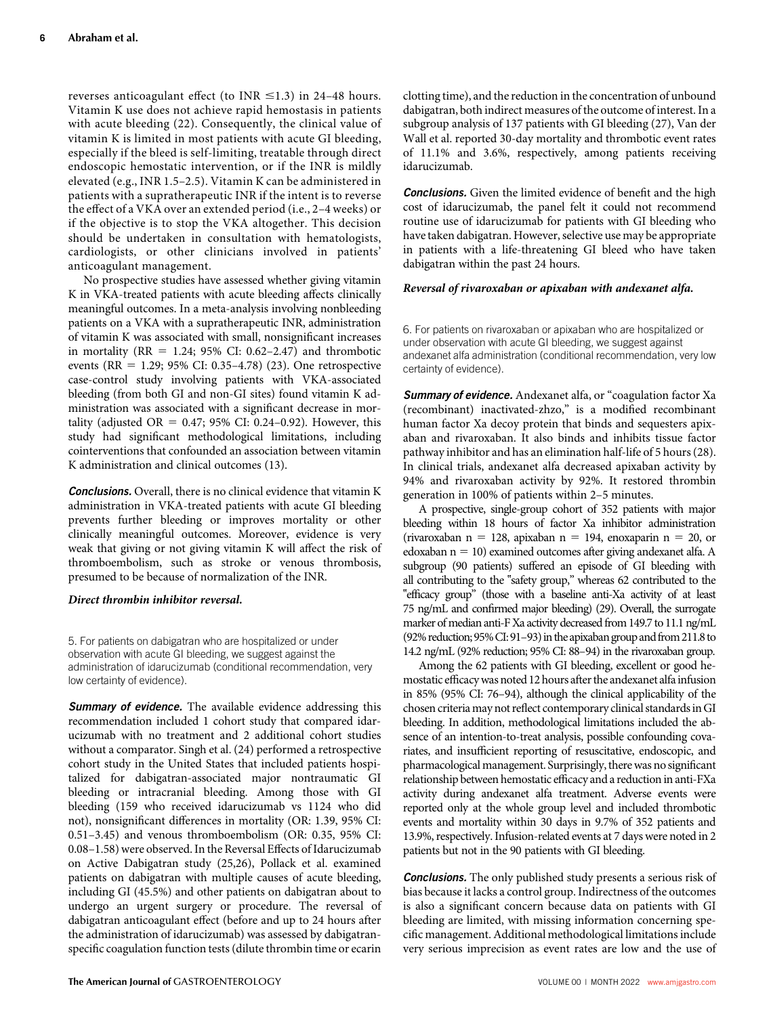reverses anticoagulant effect (to INR  $\leq$ 1.3) in 24–48 hours. Vitamin K use does not achieve rapid hemostasis in patients with acute bleeding (22). Consequently, the clinical value of vitamin K is limited in most patients with acute GI bleeding, especially if the bleed is self-limiting, treatable through direct endoscopic hemostatic intervention, or if the INR is mildly elevated (e.g., INR 1.5–2.5). Vitamin K can be administered in patients with a supratherapeutic INR if the intent is to reverse the effect of a VKA over an extended period (i.e., 2–4 weeks) or if the objective is to stop the VKA altogether. This decision should be undertaken in consultation with hematologists, cardiologists, or other clinicians involved in patients' anticoagulant management.

No prospective studies have assessed whether giving vitamin K in VKA-treated patients with acute bleeding affects clinically meaningful outcomes. In a meta-analysis involving nonbleeding patients on a VKA with a supratherapeutic INR, administration of vitamin K was associated with small, nonsignificant increases in mortality ( $RR = 1.24$ ; 95% CI: 0.62–2.47) and thrombotic events (RR = 1.29; 95% CI: 0.35–4.78) (23). One retrospective case-control study involving patients with VKA-associated bleeding (from both GI and non-GI sites) found vitamin K administration was associated with a significant decrease in mortality (adjusted OR =  $0.47$ ; 95% CI: 0.24–0.92). However, this study had significant methodological limitations, including cointerventions that confounded an association between vitamin K administration and clinical outcomes (13).

**Conclusions.** Overall, there is no clinical evidence that vitamin K administration in VKA-treated patients with acute GI bleeding prevents further bleeding or improves mortality or other clinically meaningful outcomes. Moreover, evidence is very weak that giving or not giving vitamin K will affect the risk of thromboembolism, such as stroke or venous thrombosis, presumed to be because of normalization of the INR.

## Direct thrombin inhibitor reversal.

5. For patients on dabigatran who are hospitalized or under observation with acute GI bleeding, we suggest against the administration of idarucizumab (conditional recommendation, very low certainty of evidence).

**Summary of evidence.** The available evidence addressing this recommendation included 1 cohort study that compared idarucizumab with no treatment and 2 additional cohort studies without a comparator. Singh et al. (24) performed a retrospective cohort study in the United States that included patients hospitalized for dabigatran-associated major nontraumatic GI bleeding or intracranial bleeding. Among those with GI bleeding (159 who received idarucizumab vs 1124 who did not), nonsignificant differences in mortality (OR: 1.39, 95% CI: 0.51–3.45) and venous thromboembolism (OR: 0.35, 95% CI: 0.08–1.58) were observed. In the Reversal Effects of Idarucizumab on Active Dabigatran study (25,26), Pollack et al. examined patients on dabigatran with multiple causes of acute bleeding, including GI (45.5%) and other patients on dabigatran about to undergo an urgent surgery or procedure. The reversal of dabigatran anticoagulant effect (before and up to 24 hours after the administration of idarucizumab) was assessed by dabigatranspecific coagulation function tests (dilute thrombin time or ecarin

clotting time), and the reduction in the concentration of unbound dabigatran, both indirect measures of the outcome of interest. In a subgroup analysis of 137 patients with GI bleeding (27), Van der Wall et al. reported 30-day mortality and thrombotic event rates of 11.1% and 3.6%, respectively, among patients receiving idarucizumab.

**Conclusions.** Given the limited evidence of benefit and the high cost of idarucizumab, the panel felt it could not recommend routine use of idarucizumab for patients with GI bleeding who have taken dabigatran. However, selective use may be appropriate in patients with a life-threatening GI bleed who have taken dabigatran within the past 24 hours.

## Reversal of rivaroxaban or apixaban with andexanet alfa.

6. For patients on rivaroxaban or apixaban who are hospitalized or under observation with acute GI bleeding, we suggest against andexanet alfa administration (conditional recommendation, very low certainty of evidence).

Summary of evidence. Andexanet alfa, or "coagulation factor Xa (recombinant) inactivated-zhzo," is a modified recombinant human factor Xa decoy protein that binds and sequesters apixaban and rivaroxaban. It also binds and inhibits tissue factor pathway inhibitor and has an elimination half-life of 5 hours (28). In clinical trials, andexanet alfa decreased apixaban activity by 94% and rivaroxaban activity by 92%. It restored thrombin generation in 100% of patients within 2–5 minutes.

A prospective, single-group cohort of 352 patients with major bleeding within 18 hours of factor Xa inhibitor administration (rivaroxaban n = 128, apixaban n = 194, enoxaparin n = 20, or edoxaban  $n = 10$ ) examined outcomes after giving andexanet alfa. A subgroup (90 patients) suffered an episode of GI bleeding with all contributing to the "safety group," whereas 62 contributed to the "efficacy group" (those with a baseline anti-Xa activity of at least 75 ng/mL and confirmed major bleeding) (29). Overall, the surrogate marker of median anti-F Xa activity decreased from 149.7 to 11.1 ng/mL (92% reduction; 95% CI: 91-93) in the apixaban group and from 211.8 to 14.2 ng/mL (92% reduction; 95% CI: 88–94) in the rivaroxaban group.

Among the 62 patients with GI bleeding, excellent or good hemostatic efficacy was noted 12 hours after the andexanet alfainfusion in 85% (95% CI: 76–94), although the clinical applicability of the chosen criteria may not reflect contemporary clinical standards in GI bleeding. In addition, methodological limitations included the absence of an intention-to-treat analysis, possible confounding covariates, and insufficient reporting of resuscitative, endoscopic, and pharmacological management. Surprisingly, there was no significant relationship between hemostatic efficacy and a reduction in anti-FXa activity during andexanet alfa treatment. Adverse events were reported only at the whole group level and included thrombotic events and mortality within 30 days in 9.7% of 352 patients and 13.9%, respectively. Infusion-related events at 7 days were noted in 2 patients but not in the 90 patients with GI bleeding.

Conclusions. The only published study presents a serious risk of bias because it lacks a control group. Indirectness of the outcomes is also a significant concern because data on patients with GI bleeding are limited, with missing information concerning specific management. Additional methodological limitations include very serious imprecision as event rates are low and the use of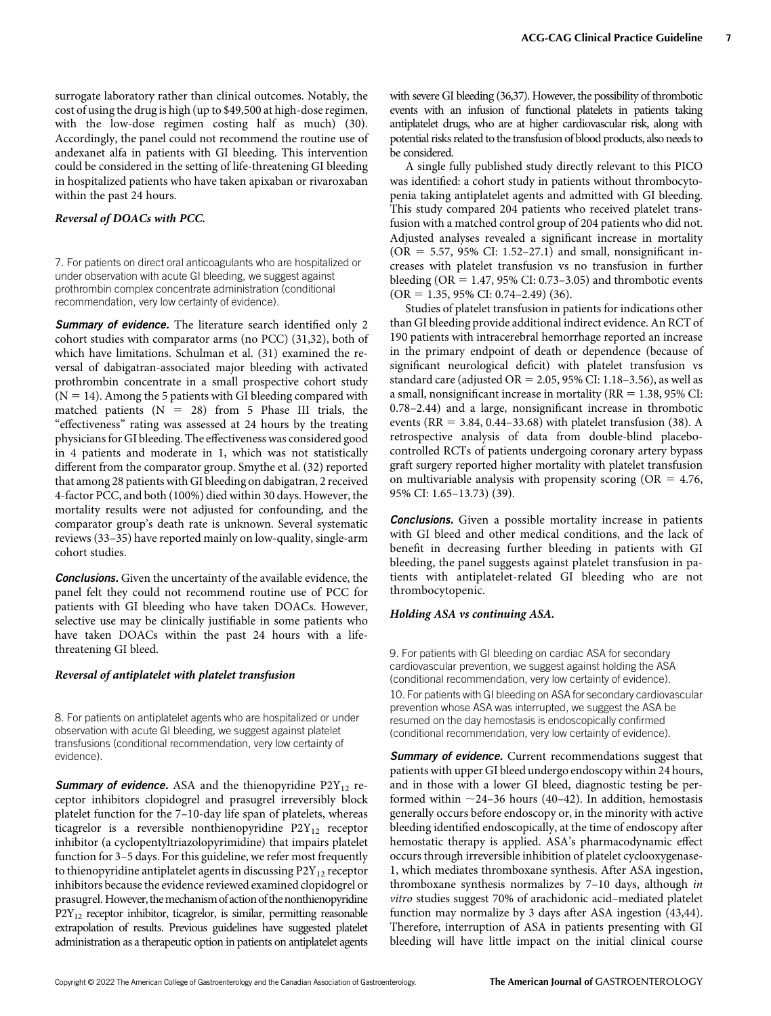surrogate laboratory rather than clinical outcomes. Notably, the cost of using the drug is high (up to \$49,500 at high-dose regimen, with the low-dose regimen costing half as much) (30). Accordingly, the panel could not recommend the routine use of andexanet alfa in patients with GI bleeding. This intervention could be considered in the setting of life-threatening GI bleeding in hospitalized patients who have taken apixaban or rivaroxaban within the past 24 hours.

## Reversal of DOACs with PCC.

7. For patients on direct oral anticoagulants who are hospitalized or under observation with acute GI bleeding, we suggest against prothrombin complex concentrate administration (conditional recommendation, very low certainty of evidence).

Summary of evidence. The literature search identified only 2 cohort studies with comparator arms (no PCC) (31,32), both of which have limitations. Schulman et al. (31) examined the reversal of dabigatran-associated major bleeding with activated prothrombin concentrate in a small prospective cohort study  $(N = 14)$ . Among the 5 patients with GI bleeding compared with matched patients  $(N = 28)$  from 5 Phase III trials, the "effectiveness" rating was assessed at 24 hours by the treating physicians for GI bleeding. The effectiveness was considered good in 4 patients and moderate in 1, which was not statistically different from the comparator group. Smythe et al. (32) reported that among 28 patients with GI bleeding on dabigatran, 2 received 4-factor PCC, and both (100%) died within 30 days. However, the mortality results were not adjusted for confounding, and the comparator group's death rate is unknown. Several systematic reviews (33–35) have reported mainly on low-quality, single-arm cohort studies.

**Conclusions.** Given the uncertainty of the available evidence, the panel felt they could not recommend routine use of PCC for patients with GI bleeding who have taken DOACs. However, selective use may be clinically justifiable in some patients who have taken DOACs within the past 24 hours with a lifethreatening GI bleed.

### Reversal of antiplatelet with platelet transfusion

8. For patients on antiplatelet agents who are hospitalized or under observation with acute GI bleeding, we suggest against platelet transfusions (conditional recommendation, very low certainty of evidence).

**Summary of evidence.** ASA and the thienopyridine  $P2Y_{12}$  receptor inhibitors clopidogrel and prasugrel irreversibly block platelet function for the 7–10-day life span of platelets, whereas ticagrelor is a reversible nonthienopyridine  $P2Y_{12}$  receptor inhibitor (a cyclopentyltriazolopyrimidine) that impairs platelet function for 3–5 days. For this guideline, we refer most frequently to thienopyridine antiplatelet agents in discussing  $P2Y_{12}$  receptor inhibitors because the evidence reviewed examined clopidogrel or prasugrel. However, themechanism of action of the nonthienopyridine  $P2Y_{12}$  receptor inhibitor, ticagrelor, is similar, permitting reasonable extrapolation of results. Previous guidelines have suggested platelet administration as a therapeutic option in patients on antiplatelet agents

with severe GI bleeding (36,37). However, the possibility of thrombotic events with an infusion of functional platelets in patients taking antiplatelet drugs, who are at higher cardiovascular risk, along with potential risks related to the transfusion of blood products, also needs to be considered.

A single fully published study directly relevant to this PICO was identified: a cohort study in patients without thrombocytopenia taking antiplatelet agents and admitted with GI bleeding. This study compared 204 patients who received platelet transfusion with a matched control group of 204 patients who did not. Adjusted analyses revealed a significant increase in mortality  $(OR = 5.57, 95\% \text{ CI: } 1.52-27.1)$  and small, nonsignificant increases with platelet transfusion vs no transfusion in further bleeding (OR =  $1.47$ , 95% CI: 0.73–3.05) and thrombotic events  $(OR = 1.35, 95\% CI: 0.74-2.49)$  (36).

Studies of platelet transfusion in patients for indications other than GI bleeding provide additional indirect evidence. An RCT of 190 patients with intracerebral hemorrhage reported an increase in the primary endpoint of death or dependence (because of significant neurological deficit) with platelet transfusion vs standard care (adjusted  $OR = 2.05$ , 95% CI: 1.18–3.56), as well as a small, nonsignificant increase in mortality ( $RR = 1.38$ ,  $95\%$  CI: 0.78–2.44) and a large, nonsignificant increase in thrombotic events (RR = 3.84, 0.44–33.68) with platelet transfusion (38). A retrospective analysis of data from double-blind placebocontrolled RCTs of patients undergoing coronary artery bypass graft surgery reported higher mortality with platelet transfusion on multivariable analysis with propensity scoring ( $OR = 4.76$ , 95% CI: 1.65–13.73) (39).

**Conclusions.** Given a possible mortality increase in patients with GI bleed and other medical conditions, and the lack of benefit in decreasing further bleeding in patients with GI bleeding, the panel suggests against platelet transfusion in patients with antiplatelet-related GI bleeding who are not thrombocytopenic.

## Holding ASA vs continuing ASA.

9. For patients with GI bleeding on cardiac ASA for secondary cardiovascular prevention, we suggest against holding the ASA (conditional recommendation, very low certainty of evidence). 10. For patients with GI bleeding on ASA for secondary cardiovascular prevention whose ASA was interrupted, we suggest the ASA be resumed on the day hemostasis is endoscopically confirmed (conditional recommendation, very low certainty of evidence).

**Summary of evidence.** Current recommendations suggest that patients with upper GI bleed undergo endoscopy within 24 hours, and in those with a lower GI bleed, diagnostic testing be performed within  $\sim$ 24–36 hours (40–42). In addition, hemostasis generally occurs before endoscopy or, in the minority with active bleeding identified endoscopically, at the time of endoscopy after hemostatic therapy is applied. ASA's pharmacodynamic effect occurs through irreversible inhibition of platelet cyclooxygenase-1, which mediates thromboxane synthesis. After ASA ingestion, thromboxane synthesis normalizes by 7–10 days, although in vitro studies suggest 70% of arachidonic acid–mediated platelet function may normalize by 3 days after ASA ingestion (43,44). Therefore, interruption of ASA in patients presenting with GI bleeding will have little impact on the initial clinical course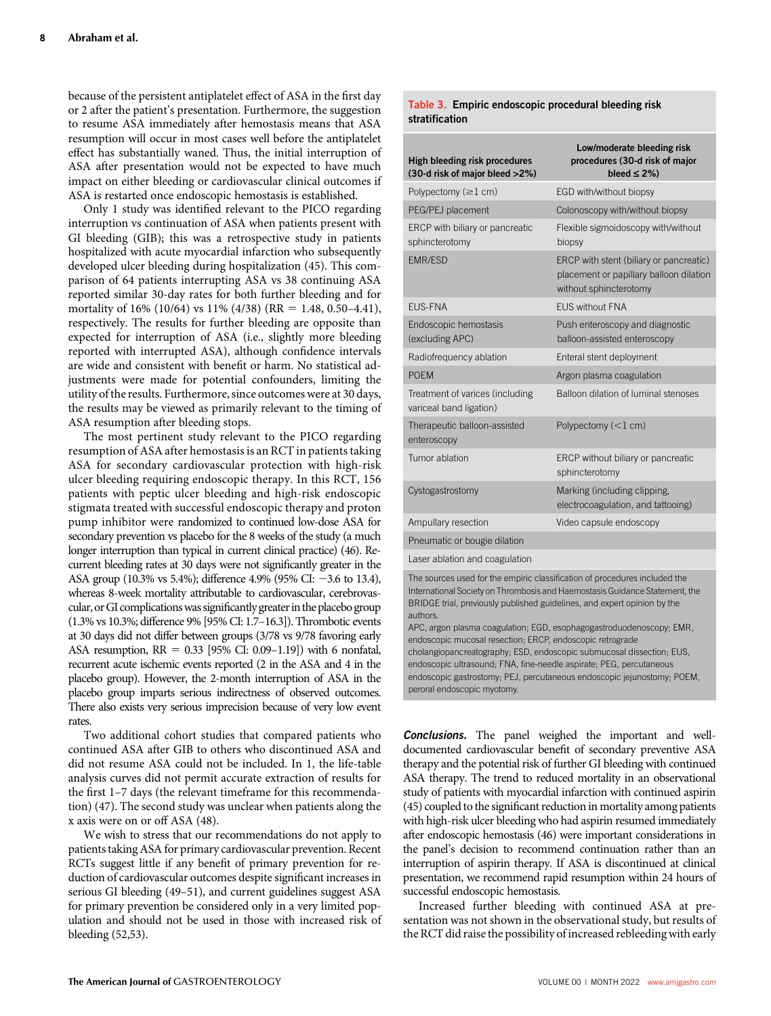because of the persistent antiplatelet effect of ASA in the first day or 2 after the patient's presentation. Furthermore, the suggestion to resume ASA immediately after hemostasis means that ASA resumption will occur in most cases well before the antiplatelet effect has substantially waned. Thus, the initial interruption of ASA after presentation would not be expected to have much impact on either bleeding or cardiovascular clinical outcomes if ASA is restarted once endoscopic hemostasis is established.

Only 1 study was identified relevant to the PICO regarding interruption vs continuation of ASA when patients present with GI bleeding (GIB); this was a retrospective study in patients hospitalized with acute myocardial infarction who subsequently developed ulcer bleeding during hospitalization (45). This comparison of 64 patients interrupting ASA vs 38 continuing ASA reported similar 30-day rates for both further bleeding and for mortality of 16% (10/64) vs 11% (4/38) (RR = 1.48, 0.50–4.41), respectively. The results for further bleeding are opposite than expected for interruption of ASA (i.e., slightly more bleeding reported with interrupted ASA), although confidence intervals are wide and consistent with benefit or harm. No statistical adjustments were made for potential confounders, limiting the utility of the results. Furthermore, since outcomes were at 30 days, the results may be viewed as primarily relevant to the timing of ASA resumption after bleeding stops.

The most pertinent study relevant to the PICO regarding resumption of ASA after hemostasis is an RCT in patients taking ASA for secondary cardiovascular protection with high-risk ulcer bleeding requiring endoscopic therapy. In this RCT, 156 patients with peptic ulcer bleeding and high-risk endoscopic stigmata treated with successful endoscopic therapy and proton pump inhibitor were randomized to continued low-dose ASA for secondary prevention vs placebo for the 8 weeks of the study (a much longer interruption than typical in current clinical practice) (46). Recurrent bleeding rates at 30 days were not significantly greater in the ASA group (10.3% vs 5.4%); difference 4.9% (95% CI:  $-3.6$  to 13.4), whereas 8-week mortality attributable to cardiovascular, cerebrovascular, or GI complications was significantly greater in the placebo group (1.3% vs 10.3%; difference 9% [95% CI: 1.7–16.3]). Thrombotic events at 30 days did not differ between groups (3/78 vs 9/78 favoring early ASA resumption,  $RR = 0.33$  [95% CI: 0.09–1.19]) with 6 nonfatal, recurrent acute ischemic events reported (2 in the ASA and 4 in the placebo group). However, the 2-month interruption of ASA in the placebo group imparts serious indirectness of observed outcomes. There also exists very serious imprecision because of very low event rates.

Two additional cohort studies that compared patients who continued ASA after GIB to others who discontinued ASA and did not resume ASA could not be included. In 1, the life-table analysis curves did not permit accurate extraction of results for the first 1–7 days (the relevant timeframe for this recommendation) (47). The second study was unclear when patients along the x axis were on or off ASA (48).

We wish to stress that our recommendations do not apply to patients taking ASA for primary cardiovascular prevention. Recent RCTs suggest little if any benefit of primary prevention for reduction of cardiovascular outcomes despite significant increases in serious GI bleeding (49–51), and current guidelines suggest ASA for primary prevention be considered only in a very limited population and should not be used in those with increased risk of bleeding (52,53).

#### Table 3. Empiric endoscopic procedural bleeding risk stratification

| <b>High bleeding risk procedures</b><br>(30-d risk of major bleed >2%) | Low/moderate bleeding risk<br>procedures (30-d risk of major<br>bleed $\leq$ 2%)                             |
|------------------------------------------------------------------------|--------------------------------------------------------------------------------------------------------------|
| Polypectomy $(\geq 1$ cm)                                              | EGD with/without biopsy                                                                                      |
| PEG/PEJ placement                                                      | Colonoscopy with/without biopsy                                                                              |
| ERCP with biliary or pancreatic<br>sphincterotomy                      | Flexible sigmoidoscopy with/without<br>biopsy                                                                |
| <b>EMR/ESD</b>                                                         | ERCP with stent (biliary or pancreatic)<br>placement or papillary balloon dilation<br>without sphincterotomy |
| <b>EUS-FNA</b>                                                         | <b>FUS without FNA</b>                                                                                       |
| Endoscopic hemostasis<br>(excluding APC)                               | Push enteroscopy and diagnostic<br>balloon-assisted enteroscopy                                              |
| Radiofrequency ablation                                                | Enteral stent deployment                                                                                     |
| <b>POEM</b>                                                            | Argon plasma coagulation                                                                                     |
| Treatment of varices (including<br>variceal band ligation)             | Balloon dilation of luminal stenoses                                                                         |
| Therapeutic balloon-assisted<br>enteroscopy                            | Polypectomy $(<1$ cm)                                                                                        |
| Tumor ablation                                                         | ERCP without biliary or pancreatic<br>sphincterotomy                                                         |
| Cystogastrostomy                                                       | Marking (including clipping,<br>electrocoagulation, and tattooing)                                           |
| Ampullary resection                                                    | Video capsule endoscopy                                                                                      |
| Pneumatic or bougie dilation                                           |                                                                                                              |

Laser ablation and coagulation

The sources used for the empiric classification of procedures included the International Society on Thrombosis and Haemostasis Guidance Statement, the BRIDGE trial, previously published guidelines, and expert opinion by the authors.

APC, argon plasma coagulation; EGD, esophagogastroduodenoscopy; EMR, endoscopic mucosal resection; ERCP, endoscopic retrograde cholangiopancreatography; ESD, endoscopic submucosal dissection; EUS, endoscopic ultrasound; FNA, fine-needle aspirate; PEG, percutaneous endoscopic gastrostomy; PEJ, percutaneous endoscopic jejunostomy; POEM, peroral endoscopic myotomy.

Conclusions. The panel weighed the important and welldocumented cardiovascular benefit of secondary preventive ASA therapy and the potential risk of further GI bleeding with continued ASA therapy. The trend to reduced mortality in an observational study of patients with myocardial infarction with continued aspirin (45) coupled to the significant reduction in mortality among patients with high-risk ulcer bleeding who had aspirin resumed immediately after endoscopic hemostasis (46) were important considerations in the panel's decision to recommend continuation rather than an interruption of aspirin therapy. If ASA is discontinued at clinical presentation, we recommend rapid resumption within 24 hours of successful endoscopic hemostasis.

Increased further bleeding with continued ASA at presentation was not shown in the observational study, but results of the RCT did raise the possibility of increased rebleeding with early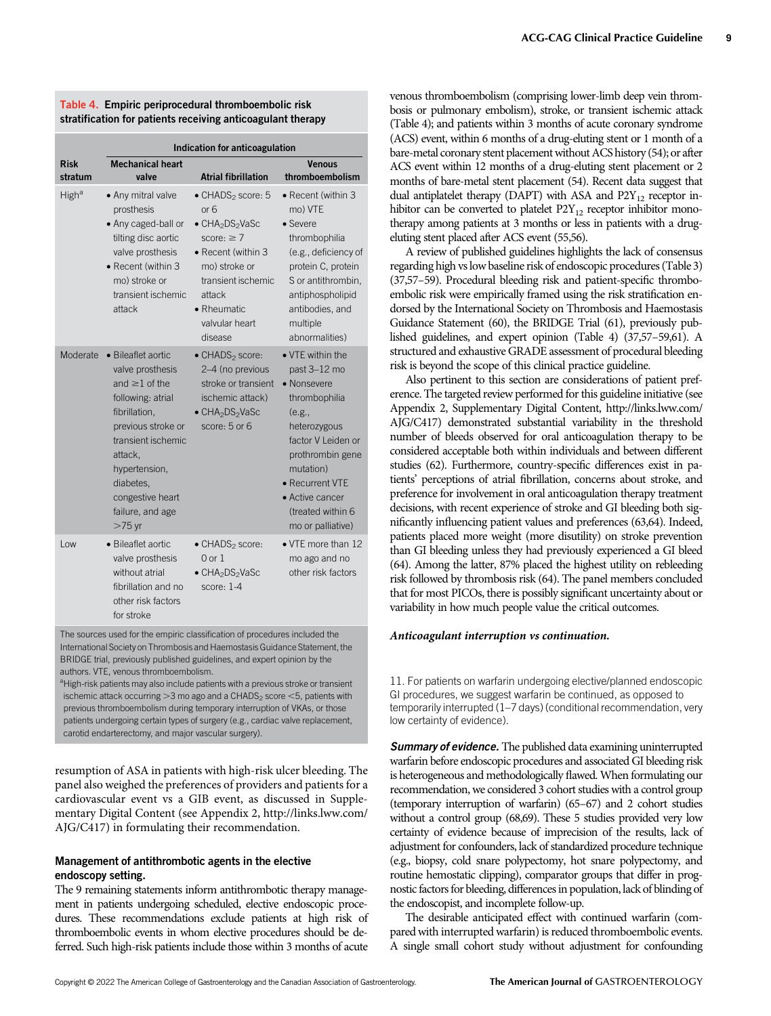|  | Table 4. Empiric periprocedural thromboembolic risk         |  |
|--|-------------------------------------------------------------|--|
|  | stratification for patients receiving anticoagulant therapy |  |

|                        | Indication for anticoagulation                                                                                                                                                                                                               |                                                                                                                                                                                                                                   |                                                                                                                                                                                                                                   |  |  |
|------------------------|----------------------------------------------------------------------------------------------------------------------------------------------------------------------------------------------------------------------------------------------|-----------------------------------------------------------------------------------------------------------------------------------------------------------------------------------------------------------------------------------|-----------------------------------------------------------------------------------------------------------------------------------------------------------------------------------------------------------------------------------|--|--|
| <b>Risk</b><br>stratum | <b>Mechanical heart</b><br>valve                                                                                                                                                                                                             | <b>Atrial fibrillation</b>                                                                                                                                                                                                        | <b>Venous</b><br>thromboembolism                                                                                                                                                                                                  |  |  |
| High <sup>a</sup>      | • Any mitral valve<br>prosthesis<br>• Any caged-ball or<br>tilting disc aortic<br>valve prosthesis<br>• Recent (within 3<br>mo) stroke or<br>transient ischemic<br>attack                                                                    | • CHADS <sub>2</sub> score: 5<br>or <sub>6</sub><br>• CHA <sub>2</sub> DS <sub>2</sub> VaSc<br>score: $\geq 7$<br>• Recent (within 3<br>mo) stroke or<br>transient ischemic<br>attack<br>• Rheumatic<br>valvular heart<br>disease | • Recent (within 3<br>mo) VTE<br>$\bullet$ Severe<br>thrombophilia<br>(e.g., deficiency of<br>protein C, protein<br>S or antithrombin,<br>antiphospholipid<br>antibodies, and<br>multiple<br>abnormalities)                       |  |  |
| Moderate               | • Bileaflet aortic<br>valve prosthesis<br>and $\geq$ 1 of the<br>following: atrial<br>fibrillation.<br>previous stroke or<br>transient ischemic<br>attack.<br>hypertension,<br>diabetes.<br>congestive heart<br>failure, and age<br>$>75$ yr | $\bullet$ CHADS <sub>2</sub> score:<br>2-4 (no previous<br>stroke or transient<br>ischemic attack)<br>• CHA <sub>2</sub> DS <sub>2</sub> VaSc<br>score: $5$ or $6$                                                                | • VTE within the<br>past 3-12 mo<br>• Nonsevere<br>thrombophilia<br>(e.g.,<br>heterozygous<br>factor V Leiden or<br>prothrombin gene<br>mutation)<br>• Recurrent VTE<br>• Active cancer<br>(treated within 6<br>mo or palliative) |  |  |
| Low                    | • Bileaflet aortic<br>valve prosthesis<br>without atrial<br>fibrillation and no<br>other risk factors<br>for stroke                                                                                                                          | $\bullet$ CHADS <sub>2</sub> score:<br>$0$ or $1$<br>• CHA <sub>2</sub> DS <sub>2</sub> VaSc<br>score: $1-4$                                                                                                                      | • VTE more than 12<br>mo ago and no<br>other risk factors                                                                                                                                                                         |  |  |

The sources used for the empiric classification of procedures included the International Society on Thrombosis and Haemostasis Guidance Statement, the BRIDGE trial, previously published guidelines, and expert opinion by the authors. VTE, venous thromboembolism.

<sup>a</sup>High-risk patients may also include patients with a previous stroke or transient ischemic attack occurring  $>$ 3 mo ago and a CHADS<sub>2</sub> score  $<$ 5, patients with previous thromboembolism during temporary interruption of VKAs, or those patients undergoing certain types of surgery (e.g., cardiac valve replacement, carotid endarterectomy, and major vascular surgery).

resumption of ASA in patients with high-risk ulcer bleeding. The panel also weighed the preferences of providers and patients for a cardiovascular event vs a GIB event, as discussed in Supplementary Digital Content (see Appendix 2, [http://links.lww.com/](http://links.lww.com/AJG/C417) [AJG/C417](http://links.lww.com/AJG/C417)) in formulating their recommendation.

## Management of antithrombotic agents in the elective endoscopy setting.

The 9 remaining statements inform antithrombotic therapy management in patients undergoing scheduled, elective endoscopic procedures. These recommendations exclude patients at high risk of thromboembolic events in whom elective procedures should be deferred. Such high-risk patients include those within 3 months of acute venous thromboembolism (comprising lower-limb deep vein thrombosis or pulmonary embolism), stroke, or transient ischemic attack (Table 4); and patients within 3 months of acute coronary syndrome (ACS) event, within 6 months of a drug-eluting stent or 1 month of a bare-metal coronary stent placement without ACS history (54); or after ACS event within 12 months of a drug-eluting stent placement or 2 months of bare-metal stent placement (54). Recent data suggest that dual antiplatelet therapy (DAPT) with ASA and  $P2Y_{12}$  receptor inhibitor can be converted to platelet  $P2Y_{12}$  receptor inhibitor monotherapy among patients at 3 months or less in patients with a drugeluting stent placed after ACS event (55,56).

A review of published guidelines highlights the lack of consensus regarding high vs low baseline risk of endoscopic procedures (Table 3) (37,57–59). Procedural bleeding risk and patient-specific thromboembolic risk were empirically framed using the risk stratification endorsed by the International Society on Thrombosis and Haemostasis Guidance Statement (60), the BRIDGE Trial (61), previously published guidelines, and expert opinion (Table 4) (37,57–59,61). A structured and exhaustive GRADE assessment of procedural bleeding risk is beyond the scope of this clinical practice guideline.

Also pertinent to this section are considerations of patient preference. The targeted review performed for this guideline initiative (see Appendix 2, Supplementary Digital Content, [http://links.lww.com/](http://links.lww.com/AJG/C417) [AJG/C417](http://links.lww.com/AJG/C417)) demonstrated substantial variability in the threshold number of bleeds observed for oral anticoagulation therapy to be considered acceptable both within individuals and between different studies (62). Furthermore, country-specific differences exist in patients' perceptions of atrial fibrillation, concerns about stroke, and preference for involvement in oral anticoagulation therapy treatment decisions, with recent experience of stroke and GI bleeding both significantly influencing patient values and preferences (63,64). Indeed, patients placed more weight (more disutility) on stroke prevention than GI bleeding unless they had previously experienced a GI bleed (64). Among the latter, 87% placed the highest utility on rebleeding risk followed by thrombosis risk (64). The panel members concluded that for most PICOs, there is possibly significant uncertainty about or variability in how much people value the critical outcomes.

### Anticoagulant interruption vs continuation.

11. For patients on warfarin undergoing elective/planned endoscopic GI procedures, we suggest warfarin be continued, as opposed to temporarily interrupted (1–7 days) (conditional recommendation, very low certainty of evidence).

**Summary of evidence.** The published data examining uninterrupted warfarin before endoscopic procedures and associated GI bleeding risk is heterogeneous and methodologically flawed. When formulating our recommendation, we considered 3 cohort studies with a control group (temporary interruption of warfarin) (65–67) and 2 cohort studies without a control group (68,69). These 5 studies provided very low certainty of evidence because of imprecision of the results, lack of adjustment for confounders, lack of standardized procedure technique (e.g., biopsy, cold snare polypectomy, hot snare polypectomy, and routine hemostatic clipping), comparator groups that differ in prognostic factors for bleeding, differences in population, lack of blinding of the endoscopist, and incomplete follow-up.

The desirable anticipated effect with continued warfarin (compared with interrupted warfarin) is reduced thromboembolic events. A single small cohort study without adjustment for confounding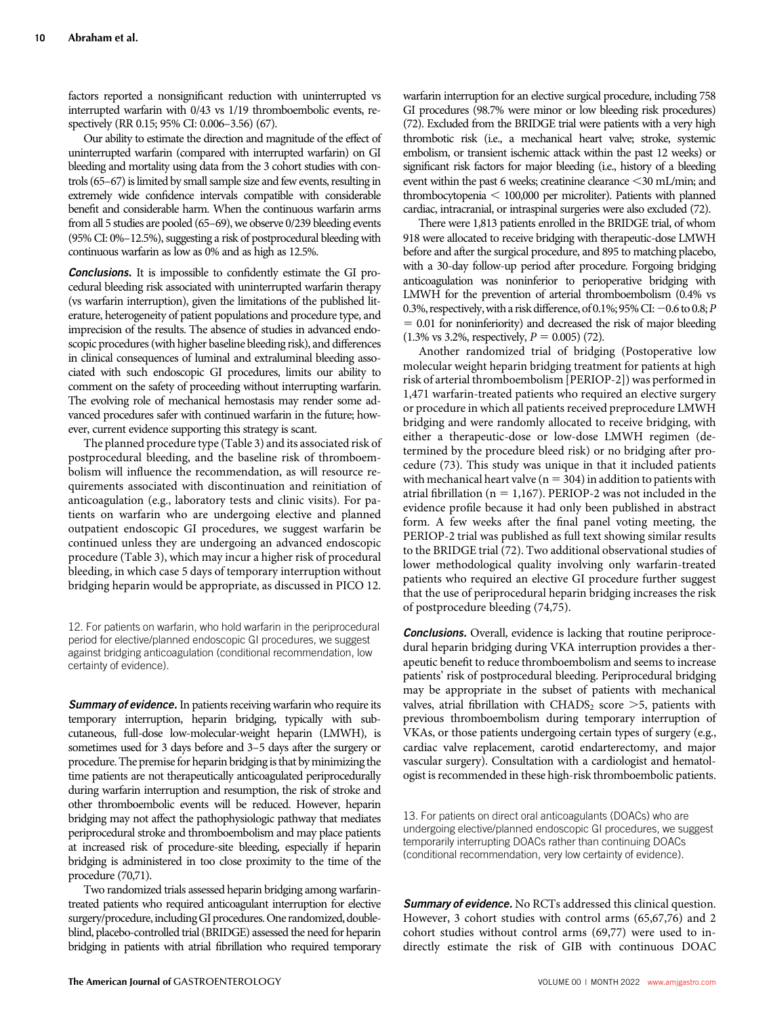factors reported a nonsignificant reduction with uninterrupted vs interrupted warfarin with 0/43 vs 1/19 thromboembolic events, respectively (RR 0.15; 95% CI: 0.006–3.56) (67).

Our ability to estimate the direction and magnitude of the effect of uninterrupted warfarin (compared with interrupted warfarin) on GI bleeding and mortality using data from the 3 cohort studies with controls (65–67) is limited by small sample size and few events, resulting in extremely wide confidence intervals compatible with considerable benefit and considerable harm. When the continuous warfarin arms from all 5 studies are pooled (65–69), we observe 0/239 bleeding events (95% CI: 0%–12.5%), suggesting a risk of postprocedural bleeding with continuous warfarin as low as 0% and as high as 12.5%.

Conclusions. It is impossible to confidently estimate the GI procedural bleeding risk associated with uninterrupted warfarin therapy (vs warfarin interruption), given the limitations of the published literature, heterogeneity of patient populations and procedure type, and imprecision of the results. The absence of studies in advanced endoscopic procedures (with higher baseline bleeding risk), and differences in clinical consequences of luminal and extraluminal bleeding associated with such endoscopic GI procedures, limits our ability to comment on the safety of proceeding without interrupting warfarin. The evolving role of mechanical hemostasis may render some advanced procedures safer with continued warfarin in the future; however, current evidence supporting this strategy is scant.

The planned procedure type (Table 3) and its associated risk of postprocedural bleeding, and the baseline risk of thromboembolism will influence the recommendation, as will resource requirements associated with discontinuation and reinitiation of anticoagulation (e.g., laboratory tests and clinic visits). For patients on warfarin who are undergoing elective and planned outpatient endoscopic GI procedures, we suggest warfarin be continued unless they are undergoing an advanced endoscopic procedure (Table 3), which may incur a higher risk of procedural bleeding, in which case 5 days of temporary interruption without bridging heparin would be appropriate, as discussed in PICO 12.

12. For patients on warfarin, who hold warfarin in the periprocedural period for elective/planned endoscopic GI procedures, we suggest against bridging anticoagulation (conditional recommendation, low certainty of evidence).

Summary of evidence. In patients receiving warfarin who require its temporary interruption, heparin bridging, typically with subcutaneous, full-dose low-molecular-weight heparin (LMWH), is sometimes used for 3 days before and 3–5 days after the surgery or procedure. The premise for heparin bridging is that by minimizing the time patients are not therapeutically anticoagulated periprocedurally during warfarin interruption and resumption, the risk of stroke and other thromboembolic events will be reduced. However, heparin bridging may not affect the pathophysiologic pathway that mediates periprocedural stroke and thromboembolism and may place patients at increased risk of procedure-site bleeding, especially if heparin bridging is administered in too close proximity to the time of the procedure (70,71).

Two randomized trials assessed heparin bridging among warfarintreated patients who required anticoagulant interruption for elective surgery/procedure, including GI procedures. One randomized, doubleblind, placebo-controlled trial (BRIDGE) assessed the need for heparin bridging in patients with atrial fibrillation who required temporary warfarin interruption for an elective surgical procedure, including 758 GI procedures (98.7% were minor or low bleeding risk procedures) (72). Excluded from the BRIDGE trial were patients with a very high thrombotic risk (i.e., a mechanical heart valve; stroke, systemic embolism, or transient ischemic attack within the past 12 weeks) or significant risk factors for major bleeding (i.e., history of a bleeding event within the past 6 weeks; creatinine clearance <30 mL/min; and  $thrombocytopenia  $< 100,000$  per microliter). Patients with planned$ cardiac, intracranial, or intraspinal surgeries were also excluded (72).

There were 1,813 patients enrolled in the BRIDGE trial, of whom 918 were allocated to receive bridging with therapeutic-dose LMWH before and after the surgical procedure, and 895 to matching placebo, with a 30-day follow-up period after procedure. Forgoing bridging anticoagulation was noninferior to perioperative bridging with LMWH for the prevention of arterial thromboembolism (0.4% vs 0.3%, respectively, with a risk difference, of 0.1%; 95% CI:  $-0.6$  to 0.8; P  $= 0.01$  for noninferiority) and decreased the risk of major bleeding  $(1.3\% \text{ vs } 3.2\% \text{, respectively, } P = 0.005)$  (72).

Another randomized trial of bridging (Postoperative low molecular weight heparin bridging treatment for patients at high risk of arterial thromboembolism [PERIOP-2]) was performed in 1,471 warfarin-treated patients who required an elective surgery or procedure in which all patients received preprocedure LMWH bridging and were randomly allocated to receive bridging, with either a therapeutic-dose or low-dose LMWH regimen (determined by the procedure bleed risk) or no bridging after procedure (73). This study was unique in that it included patients with mechanical heart valve ( $n = 304$ ) in addition to patients with atrial fibrillation ( $n = 1,167$ ). PERIOP-2 was not included in the evidence profile because it had only been published in abstract form. A few weeks after the final panel voting meeting, the PERIOP-2 trial was published as full text showing similar results to the BRIDGE trial (72). Two additional observational studies of lower methodological quality involving only warfarin-treated patients who required an elective GI procedure further suggest that the use of periprocedural heparin bridging increases the risk of postprocedure bleeding (74,75).

**Conclusions.** Overall, evidence is lacking that routine periprocedural heparin bridging during VKA interruption provides a therapeutic benefit to reduce thromboembolism and seems to increase patients' risk of postprocedural bleeding. Periprocedural bridging may be appropriate in the subset of patients with mechanical valves, atrial fibrillation with  $\text{CHADS}_2$  score  $>$ 5, patients with previous thromboembolism during temporary interruption of VKAs, or those patients undergoing certain types of surgery (e.g., cardiac valve replacement, carotid endarterectomy, and major vascular surgery). Consultation with a cardiologist and hematologist is recommended in these high-risk thromboembolic patients.

13. For patients on direct oral anticoagulants (DOACs) who are undergoing elective/planned endoscopic GI procedures, we suggest temporarily interrupting DOACs rather than continuing DOACs (conditional recommendation, very low certainty of evidence).

Summary of evidence. No RCTs addressed this clinical question. However, 3 cohort studies with control arms (65,67,76) and 2 cohort studies without control arms (69,77) were used to indirectly estimate the risk of GIB with continuous DOAC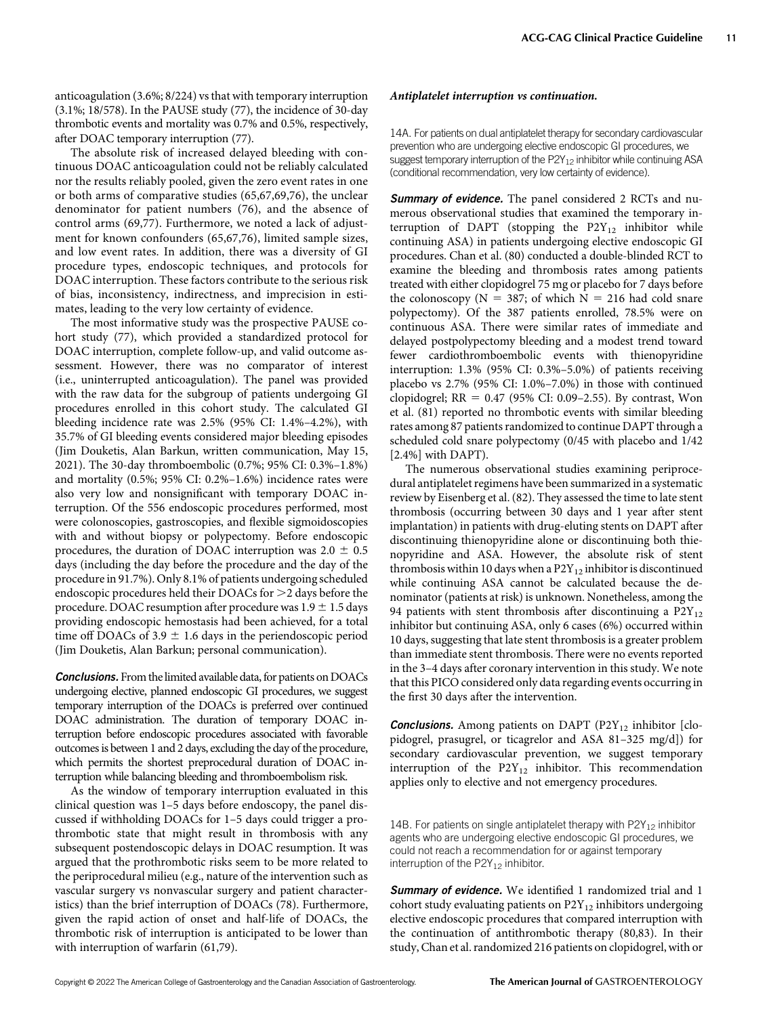anticoagulation (3.6%; 8/224) vs that with temporary interruption (3.1%; 18/578). In the PAUSE study (77), the incidence of 30-day thrombotic events and mortality was 0.7% and 0.5%, respectively, after DOAC temporary interruption (77).

The absolute risk of increased delayed bleeding with continuous DOAC anticoagulation could not be reliably calculated nor the results reliably pooled, given the zero event rates in one or both arms of comparative studies (65,67,69,76), the unclear denominator for patient numbers (76), and the absence of control arms (69,77). Furthermore, we noted a lack of adjustment for known confounders (65,67,76), limited sample sizes, and low event rates. In addition, there was a diversity of GI procedure types, endoscopic techniques, and protocols for DOAC interruption. These factors contribute to the serious risk of bias, inconsistency, indirectness, and imprecision in estimates, leading to the very low certainty of evidence.

The most informative study was the prospective PAUSE cohort study (77), which provided a standardized protocol for DOAC interruption, complete follow-up, and valid outcome assessment. However, there was no comparator of interest (i.e., uninterrupted anticoagulation). The panel was provided with the raw data for the subgroup of patients undergoing GI procedures enrolled in this cohort study. The calculated GI bleeding incidence rate was 2.5% (95% CI: 1.4%–4.2%), with 35.7% of GI bleeding events considered major bleeding episodes (Jim Douketis, Alan Barkun, written communication, May 15, 2021). The 30-day thromboembolic (0.7%; 95% CI: 0.3%–1.8%) and mortality (0.5%; 95% CI: 0.2%–1.6%) incidence rates were also very low and nonsignificant with temporary DOAC interruption. Of the 556 endoscopic procedures performed, most were colonoscopies, gastroscopies, and flexible sigmoidoscopies with and without biopsy or polypectomy. Before endoscopic procedures, the duration of DOAC interruption was  $2.0 \pm 0.5$ days (including the day before the procedure and the day of the procedure in 91.7%). Only 8.1% of patients undergoing scheduled endoscopic procedures held their DOACs for >2 days before the procedure. DOAC resumption after procedure was  $1.9 \pm 1.5$  days providing endoscopic hemostasis had been achieved, for a total time off DOACs of 3.9  $\pm$  1.6 days in the periendoscopic period (Jim Douketis, Alan Barkun; personal communication).

Conclusions. From the limited available data, for patients on DOACs undergoing elective, planned endoscopic GI procedures, we suggest temporary interruption of the DOACs is preferred over continued DOAC administration. The duration of temporary DOAC interruption before endoscopic procedures associated with favorable outcomes is between 1 and 2 days, excluding the day of the procedure, which permits the shortest preprocedural duration of DOAC interruption while balancing bleeding and thromboembolism risk.

As the window of temporary interruption evaluated in this clinical question was 1–5 days before endoscopy, the panel discussed if withholding DOACs for 1–5 days could trigger a prothrombotic state that might result in thrombosis with any subsequent postendoscopic delays in DOAC resumption. It was argued that the prothrombotic risks seem to be more related to the periprocedural milieu (e.g., nature of the intervention such as vascular surgery vs nonvascular surgery and patient characteristics) than the brief interruption of DOACs (78). Furthermore, given the rapid action of onset and half-life of DOACs, the thrombotic risk of interruption is anticipated to be lower than with interruption of warfarin (61,79).

#### Antiplatelet interruption vs continuation.

14A. For patients on dual antiplatelet therapy for secondary cardiovascular prevention who are undergoing elective endoscopic GI procedures, we suggest temporary interruption of the  $P2Y_{12}$  inhibitor while continuing ASA (conditional recommendation, very low certainty of evidence).

**Summary of evidence.** The panel considered 2 RCTs and numerous observational studies that examined the temporary interruption of DAPT (stopping the  $P2Y_{12}$  inhibitor while continuing ASA) in patients undergoing elective endoscopic GI procedures. Chan et al. (80) conducted a double-blinded RCT to examine the bleeding and thrombosis rates among patients treated with either clopidogrel 75 mg or placebo for 7 days before the colonoscopy ( $N = 387$ ; of which  $N = 216$  had cold snare polypectomy). Of the 387 patients enrolled, 78.5% were on continuous ASA. There were similar rates of immediate and delayed postpolypectomy bleeding and a modest trend toward fewer cardiothromboembolic events with thienopyridine interruption: 1.3% (95% CI: 0.3%–5.0%) of patients receiving placebo vs 2.7% (95% CI: 1.0%–7.0%) in those with continued clopidogrel;  $RR = 0.47$  (95% CI: 0.09–2.55). By contrast, Won et al. (81) reported no thrombotic events with similar bleeding rates among 87 patients randomized to continue DAPT through a scheduled cold snare polypectomy (0/45 with placebo and 1/42 [2.4%] with DAPT).

The numerous observational studies examining periprocedural antiplatelet regimens have been summarized in a systematic review by Eisenberg et al. (82). They assessed the time to late stent thrombosis (occurring between 30 days and 1 year after stent implantation) in patients with drug-eluting stents on DAPT after discontinuing thienopyridine alone or discontinuing both thienopyridine and ASA. However, the absolute risk of stent thrombosis within 10 days when a  $P2Y_{12}$  inhibitor is discontinued while continuing ASA cannot be calculated because the denominator (patients at risk) is unknown. Nonetheless, among the 94 patients with stent thrombosis after discontinuing a  $P2Y_{12}$ inhibitor but continuing ASA, only 6 cases (6%) occurred within 10 days, suggesting that late stent thrombosis is a greater problem than immediate stent thrombosis. There were no events reported in the 3–4 days after coronary intervention in this study. We note that this PICO considered only data regarding events occurring in the first 30 days after the intervention.

**Conclusions.** Among patients on DAPT (P2Y<sub>12</sub> inhibitor [clopidogrel, prasugrel, or ticagrelor and ASA 81–325 mg/d]) for secondary cardiovascular prevention, we suggest temporary interruption of the  $P2Y_{12}$  inhibitor. This recommendation applies only to elective and not emergency procedures.

14B. For patients on single antiplatelet therapy with  $P2Y_{12}$  inhibitor agents who are undergoing elective endoscopic GI procedures, we could not reach a recommendation for or against temporary interruption of the  $P2Y_{12}$  inhibitor.

Summary of evidence. We identified 1 randomized trial and 1 cohort study evaluating patients on  $P2Y_{12}$  inhibitors undergoing elective endoscopic procedures that compared interruption with the continuation of antithrombotic therapy (80,83). In their study, Chan et al. randomized 216 patients on clopidogrel, with or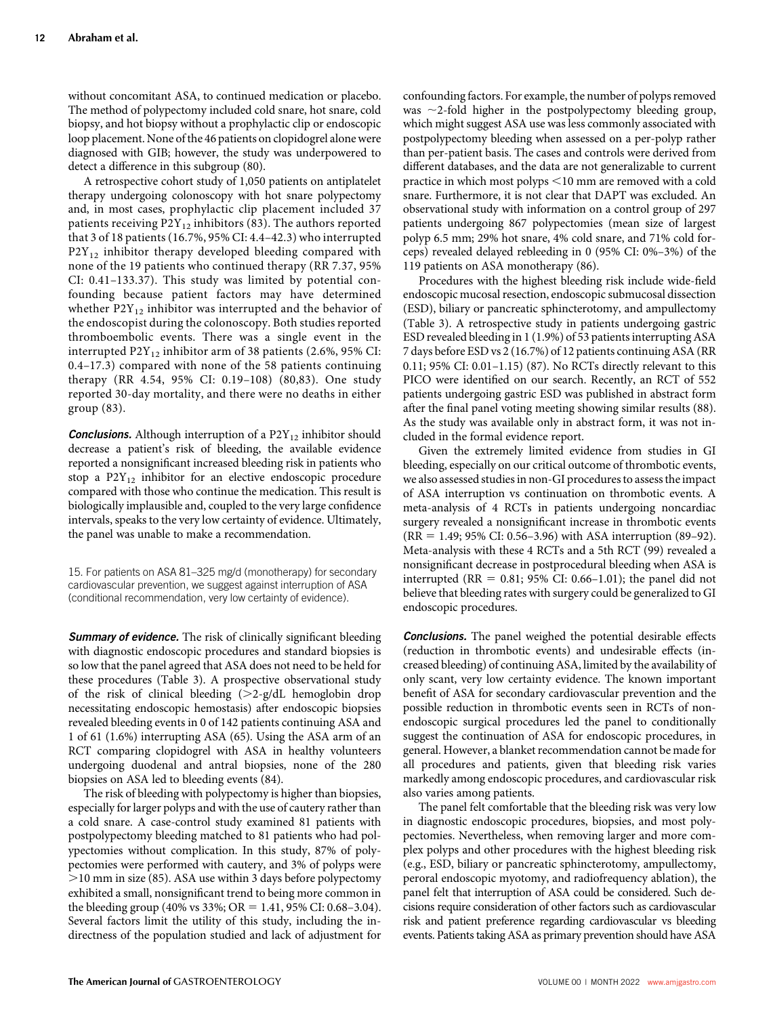without concomitant ASA, to continued medication or placebo. The method of polypectomy included cold snare, hot snare, cold biopsy, and hot biopsy without a prophylactic clip or endoscopic loop placement. None of the 46 patients on clopidogrel alone were diagnosed with GIB; however, the study was underpowered to detect a difference in this subgroup (80).

A retrospective cohort study of 1,050 patients on antiplatelet therapy undergoing colonoscopy with hot snare polypectomy and, in most cases, prophylactic clip placement included 37 patients receiving  $P2Y_{12}$  inhibitors (83). The authors reported that 3 of 18 patients (16.7%, 95% CI: 4.4–42.3) who interrupted  $P2Y_{12}$  inhibitor therapy developed bleeding compared with none of the 19 patients who continued therapy (RR 7.37, 95% CI: 0.41–133.37). This study was limited by potential confounding because patient factors may have determined whether  $P2Y_{12}$  inhibitor was interrupted and the behavior of the endoscopist during the colonoscopy. Both studies reported thromboembolic events. There was a single event in the interrupted  $P2Y_{12}$  inhibitor arm of 38 patients (2.6%, 95% CI: 0.4–17.3) compared with none of the 58 patients continuing therapy (RR 4.54, 95% CI: 0.19–108) (80,83). One study reported 30-day mortality, and there were no deaths in either group (83).

**Conclusions.** Although interruption of a  $P2Y_{12}$  inhibitor should decrease a patient's risk of bleeding, the available evidence reported a nonsignificant increased bleeding risk in patients who stop a  $P2Y_{12}$  inhibitor for an elective endoscopic procedure compared with those who continue the medication. This result is biologically implausible and, coupled to the very large confidence intervals, speaks to the very low certainty of evidence. Ultimately, the panel was unable to make a recommendation.

15. For patients on ASA 81–325 mg/d (monotherapy) for secondary cardiovascular prevention, we suggest against interruption of ASA (conditional recommendation, very low certainty of evidence).

Summary of evidence. The risk of clinically significant bleeding with diagnostic endoscopic procedures and standard biopsies is so low that the panel agreed that ASA does not need to be held for these procedures (Table 3). A prospective observational study of the risk of clinical bleeding  $(>2-g/dL)$  hemoglobin drop necessitating endoscopic hemostasis) after endoscopic biopsies revealed bleeding events in 0 of 142 patients continuing ASA and 1 of 61 (1.6%) interrupting ASA (65). Using the ASA arm of an RCT comparing clopidogrel with ASA in healthy volunteers undergoing duodenal and antral biopsies, none of the 280 biopsies on ASA led to bleeding events (84).

The risk of bleeding with polypectomy is higher than biopsies, especially for larger polyps and with the use of cautery rather than a cold snare. A case-control study examined 81 patients with postpolypectomy bleeding matched to 81 patients who had polypectomies without complication. In this study, 87% of polypectomies were performed with cautery, and 3% of polyps were .10 mm in size (85). ASA use within 3 days before polypectomy exhibited a small, nonsignificant trend to being more common in the bleeding group (40% vs 33%; OR = 1.41, 95% CI: 0.68–3.04). Several factors limit the utility of this study, including the indirectness of the population studied and lack of adjustment for confounding factors. For example, the number of polyps removed was  $\sim$ 2-fold higher in the postpolypectomy bleeding group, which might suggest ASA use was less commonly associated with postpolypectomy bleeding when assessed on a per-polyp rather than per-patient basis. The cases and controls were derived from different databases, and the data are not generalizable to current practice in which most polyps <10 mm are removed with a cold snare. Furthermore, it is not clear that DAPT was excluded. An observational study with information on a control group of 297 patients undergoing 867 polypectomies (mean size of largest polyp 6.5 mm; 29% hot snare, 4% cold snare, and 71% cold forceps) revealed delayed rebleeding in 0 (95% CI: 0%–3%) of the 119 patients on ASA monotherapy (86).

Procedures with the highest bleeding risk include wide-field endoscopic mucosal resection, endoscopic submucosal dissection (ESD), biliary or pancreatic sphincterotomy, and ampullectomy (Table 3). A retrospective study in patients undergoing gastric ESD revealed bleeding in 1 (1.9%) of 53 patients interrupting ASA 7 days before ESD vs 2 (16.7%) of 12 patients continuing ASA (RR 0.11; 95% CI: 0.01–1.15) (87). No RCTs directly relevant to this PICO were identified on our search. Recently, an RCT of 552 patients undergoing gastric ESD was published in abstract form after the final panel voting meeting showing similar results (88). As the study was available only in abstract form, it was not included in the formal evidence report.

Given the extremely limited evidence from studies in GI bleeding, especially on our critical outcome of thrombotic events, we also assessed studies in non-GI procedures to assess the impact of ASA interruption vs continuation on thrombotic events. A meta-analysis of 4 RCTs in patients undergoing noncardiac surgery revealed a nonsignificant increase in thrombotic events  $(RR = 1.49; 95\% CI: 0.56-3.96)$  with ASA interruption (89–92). Meta-analysis with these 4 RCTs and a 5th RCT (99) revealed a nonsignificant decrease in postprocedural bleeding when ASA is interrupted (RR =  $0.81$ ; 95% CI: 0.66–1.01); the panel did not believe that bleeding rates with surgery could be generalized to GI endoscopic procedures.

**Conclusions.** The panel weighed the potential desirable effects (reduction in thrombotic events) and undesirable effects (increased bleeding) of continuing ASA, limited by the availability of only scant, very low certainty evidence. The known important benefit of ASA for secondary cardiovascular prevention and the possible reduction in thrombotic events seen in RCTs of nonendoscopic surgical procedures led the panel to conditionally suggest the continuation of ASA for endoscopic procedures, in general. However, a blanket recommendation cannot be made for all procedures and patients, given that bleeding risk varies markedly among endoscopic procedures, and cardiovascular risk also varies among patients.

The panel felt comfortable that the bleeding risk was very low in diagnostic endoscopic procedures, biopsies, and most polypectomies. Nevertheless, when removing larger and more complex polyps and other procedures with the highest bleeding risk (e.g., ESD, biliary or pancreatic sphincterotomy, ampullectomy, peroral endoscopic myotomy, and radiofrequency ablation), the panel felt that interruption of ASA could be considered. Such decisions require consideration of other factors such as cardiovascular risk and patient preference regarding cardiovascular vs bleeding events. Patients taking ASA as primary prevention should have ASA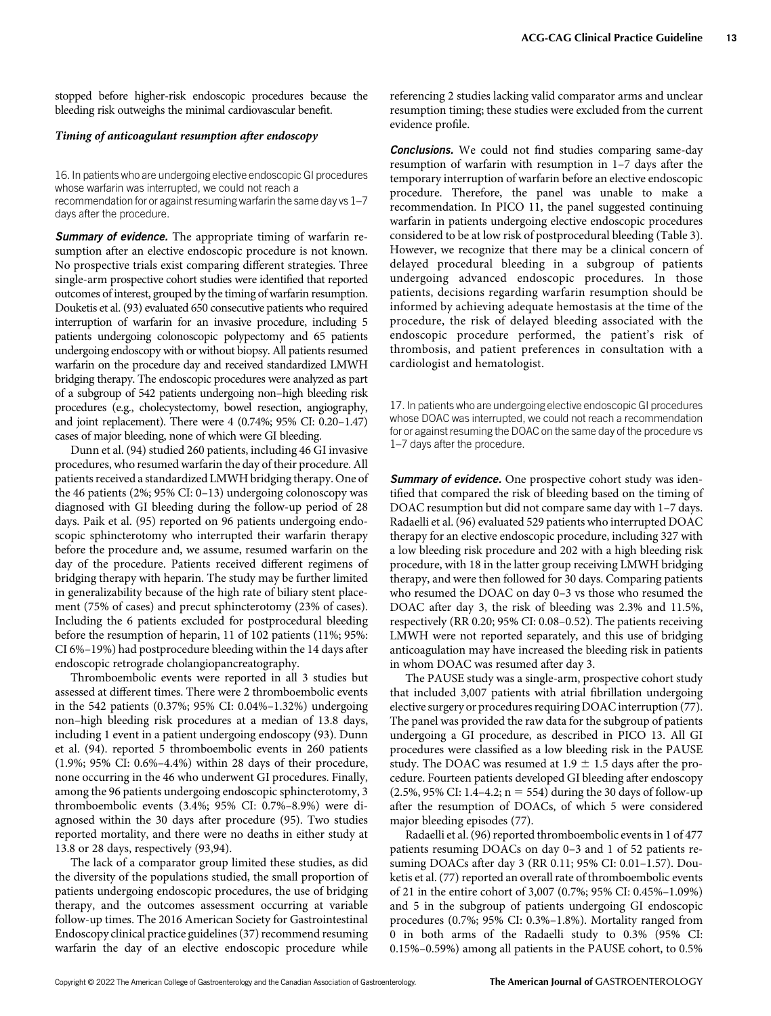stopped before higher-risk endoscopic procedures because the bleeding risk outweighs the minimal cardiovascular benefit.

## Timing of anticoagulant resumption after endoscopy

16. In patients who are undergoing elective endoscopic GI procedures whose warfarin was interrupted, we could not reach a recommendation for or against resuming warfarin the same day vs 1–7 days after the procedure.

**Summary of evidence.** The appropriate timing of warfarin resumption after an elective endoscopic procedure is not known. No prospective trials exist comparing different strategies. Three single-arm prospective cohort studies were identified that reported outcomes of interest, grouped by the timing of warfarin resumption. Douketis et al. (93) evaluated 650 consecutive patients who required interruption of warfarin for an invasive procedure, including 5 patients undergoing colonoscopic polypectomy and 65 patients undergoing endoscopy with or without biopsy. All patients resumed warfarin on the procedure day and received standardized LMWH bridging therapy. The endoscopic procedures were analyzed as part of a subgroup of 542 patients undergoing non–high bleeding risk procedures (e.g., cholecystectomy, bowel resection, angiography, and joint replacement). There were 4 (0.74%; 95% CI: 0.20–1.47) cases of major bleeding, none of which were GI bleeding.

Dunn et al. (94) studied 260 patients, including 46 GI invasive procedures, who resumed warfarin the day of their procedure. All patients received a standardized LMWH bridging therapy. One of the 46 patients (2%; 95% CI: 0–13) undergoing colonoscopy was diagnosed with GI bleeding during the follow-up period of 28 days. Paik et al. (95) reported on 96 patients undergoing endoscopic sphincterotomy who interrupted their warfarin therapy before the procedure and, we assume, resumed warfarin on the day of the procedure. Patients received different regimens of bridging therapy with heparin. The study may be further limited in generalizability because of the high rate of biliary stent placement (75% of cases) and precut sphincterotomy (23% of cases). Including the 6 patients excluded for postprocedural bleeding before the resumption of heparin, 11 of 102 patients (11%; 95%: CI 6%–19%) had postprocedure bleeding within the 14 days after endoscopic retrograde cholangiopancreatography.

Thromboembolic events were reported in all 3 studies but assessed at different times. There were 2 thromboembolic events in the 542 patients (0.37%; 95% CI: 0.04%–1.32%) undergoing non–high bleeding risk procedures at a median of 13.8 days, including 1 event in a patient undergoing endoscopy (93). Dunn et al. (94). reported 5 thromboembolic events in 260 patients (1.9%; 95% CI: 0.6%–4.4%) within 28 days of their procedure, none occurring in the 46 who underwent GI procedures. Finally, among the 96 patients undergoing endoscopic sphincterotomy, 3 thromboembolic events (3.4%; 95% CI: 0.7%–8.9%) were diagnosed within the 30 days after procedure (95). Two studies reported mortality, and there were no deaths in either study at 13.8 or 28 days, respectively (93,94).

The lack of a comparator group limited these studies, as did the diversity of the populations studied, the small proportion of patients undergoing endoscopic procedures, the use of bridging therapy, and the outcomes assessment occurring at variable follow-up times. The 2016 American Society for Gastrointestinal Endoscopy clinical practice guidelines (37) recommend resuming warfarin the day of an elective endoscopic procedure while

referencing 2 studies lacking valid comparator arms and unclear resumption timing; these studies were excluded from the current evidence profile.

**Conclusions.** We could not find studies comparing same-day resumption of warfarin with resumption in 1–7 days after the temporary interruption of warfarin before an elective endoscopic procedure. Therefore, the panel was unable to make a recommendation. In PICO 11, the panel suggested continuing warfarin in patients undergoing elective endoscopic procedures considered to be at low risk of postprocedural bleeding (Table 3). However, we recognize that there may be a clinical concern of delayed procedural bleeding in a subgroup of patients undergoing advanced endoscopic procedures. In those patients, decisions regarding warfarin resumption should be informed by achieving adequate hemostasis at the time of the procedure, the risk of delayed bleeding associated with the endoscopic procedure performed, the patient's risk of thrombosis, and patient preferences in consultation with a cardiologist and hematologist.

17. In patients who are undergoing elective endoscopic GI procedures whose DOAC was interrupted, we could not reach a recommendation for or against resuming the DOAC on the same day of the procedure vs 1–7 days after the procedure.

Summary of evidence. One prospective cohort study was identified that compared the risk of bleeding based on the timing of DOAC resumption but did not compare same day with 1–7 days. Radaelli et al. (96) evaluated 529 patients who interrupted DOAC therapy for an elective endoscopic procedure, including 327 with a low bleeding risk procedure and 202 with a high bleeding risk procedure, with 18 in the latter group receiving LMWH bridging therapy, and were then followed for 30 days. Comparing patients who resumed the DOAC on day 0–3 vs those who resumed the DOAC after day 3, the risk of bleeding was 2.3% and 11.5%, respectively (RR 0.20; 95% CI: 0.08–0.52). The patients receiving LMWH were not reported separately, and this use of bridging anticoagulation may have increased the bleeding risk in patients in whom DOAC was resumed after day 3.

The PAUSE study was a single-arm, prospective cohort study that included 3,007 patients with atrial fibrillation undergoing elective surgery or procedures requiring DOAC interruption (77). The panel was provided the raw data for the subgroup of patients undergoing a GI procedure, as described in PICO 13. All GI procedures were classified as a low bleeding risk in the PAUSE study. The DOAC was resumed at  $1.9 \pm 1.5$  days after the procedure. Fourteen patients developed GI bleeding after endoscopy  $(2.5\%, 95\% \text{ CI: } 1.4-4.2; \text{ n} = 554)$  during the 30 days of follow-up after the resumption of DOACs, of which 5 were considered major bleeding episodes (77).

Radaelli et al. (96) reported thromboembolic events in 1 of 477 patients resuming DOACs on day 0–3 and 1 of 52 patients resuming DOACs after day 3 (RR 0.11; 95% CI: 0.01–1.57). Douketis et al. (77) reported an overall rate of thromboembolic events of 21 in the entire cohort of 3,007 (0.7%; 95% CI: 0.45%–1.09%) and 5 in the subgroup of patients undergoing GI endoscopic procedures (0.7%; 95% CI: 0.3%–1.8%). Mortality ranged from 0 in both arms of the Radaelli study to 0.3% (95% CI: 0.15%–0.59%) among all patients in the PAUSE cohort, to 0.5%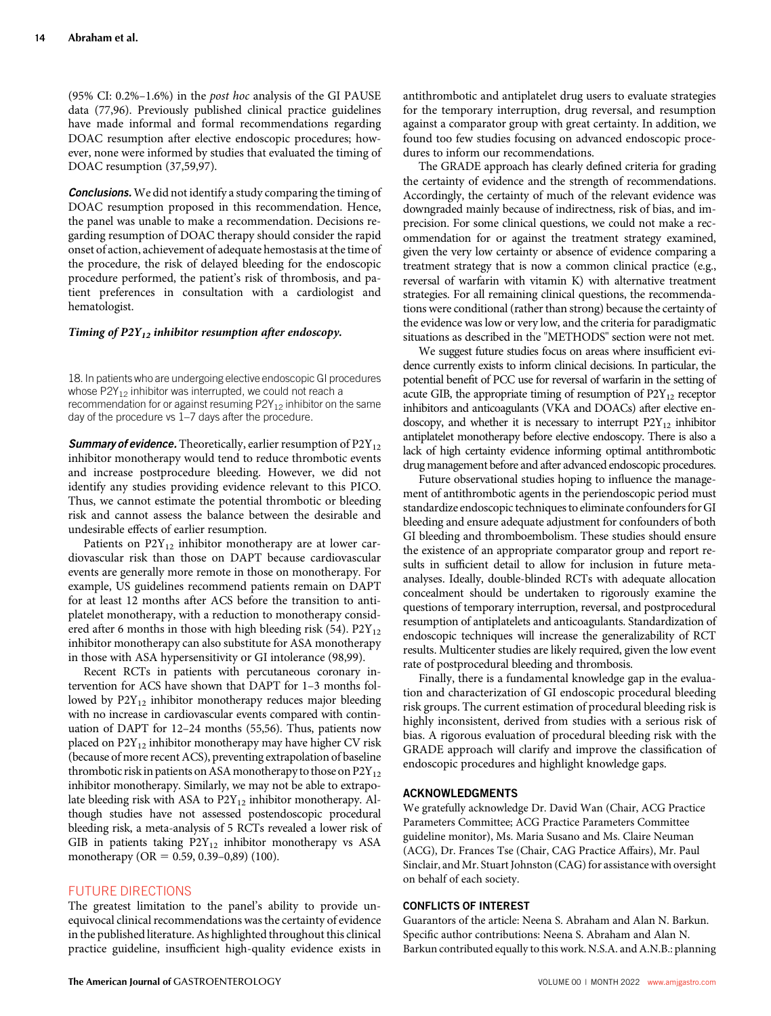(95% CI: 0.2%–1.6%) in the post hoc analysis of the GI PAUSE data (77,96). Previously published clinical practice guidelines have made informal and formal recommendations regarding DOAC resumption after elective endoscopic procedures; however, none were informed by studies that evaluated the timing of DOAC resumption (37,59,97).

**Conclusions.** We did not identify a study comparing the timing of DOAC resumption proposed in this recommendation. Hence, the panel was unable to make a recommendation. Decisions regarding resumption of DOAC therapy should consider the rapid onset of action, achievement of adequate hemostasis at the time of the procedure, the risk of delayed bleeding for the endoscopic procedure performed, the patient's risk of thrombosis, and patient preferences in consultation with a cardiologist and hematologist.

### Timing of  $P2Y_{12}$  inhibitor resumption after endoscopy.

18. In patients who are undergoing elective endoscopic GI procedures whose  $P2Y_{12}$  inhibitor was interrupted, we could not reach a recommendation for or against resuming  $P2Y_{12}$  inhibitor on the same day of the procedure vs 1–7 days after the procedure.

**Summary of evidence.** Theoretically, earlier resumption of  $P2Y_{12}$ inhibitor monotherapy would tend to reduce thrombotic events and increase postprocedure bleeding. However, we did not identify any studies providing evidence relevant to this PICO. Thus, we cannot estimate the potential thrombotic or bleeding risk and cannot assess the balance between the desirable and undesirable effects of earlier resumption.

Patients on  $P2Y_{12}$  inhibitor monotherapy are at lower cardiovascular risk than those on DAPT because cardiovascular events are generally more remote in those on monotherapy. For example, US guidelines recommend patients remain on DAPT for at least 12 months after ACS before the transition to antiplatelet monotherapy, with a reduction to monotherapy considered after 6 months in those with high bleeding risk (54).  $P2Y_{12}$ inhibitor monotherapy can also substitute for ASA monotherapy in those with ASA hypersensitivity or GI intolerance (98,99).

Recent RCTs in patients with percutaneous coronary intervention for ACS have shown that DAPT for 1–3 months followed by  $P2Y_{12}$  inhibitor monotherapy reduces major bleeding with no increase in cardiovascular events compared with continuation of DAPT for 12–24 months (55,56). Thus, patients now placed on  $P2Y_{12}$  inhibitor monotherapy may have higher CV risk (because of more recent ACS), preventing extrapolation of baseline thrombotic risk in patients on ASA monotherapy to those on  $P2Y_{12}$ inhibitor monotherapy. Similarly, we may not be able to extrapolate bleeding risk with ASA to  $P2Y_{12}$  inhibitor monotherapy. Although studies have not assessed postendoscopic procedural bleeding risk, a meta-analysis of 5 RCTs revealed a lower risk of GIB in patients taking  $P2Y_{12}$  inhibitor monotherapy vs ASA monotherapy (OR =  $0.59, 0.39-0.89$ ) (100).

## FUTURE DIRECTIONS

The greatest limitation to the panel's ability to provide unequivocal clinical recommendations was the certainty of evidence in the published literature. As highlighted throughout this clinical practice guideline, insufficient high-quality evidence exists in antithrombotic and antiplatelet drug users to evaluate strategies for the temporary interruption, drug reversal, and resumption against a comparator group with great certainty. In addition, we found too few studies focusing on advanced endoscopic procedures to inform our recommendations.

The GRADE approach has clearly defined criteria for grading the certainty of evidence and the strength of recommendations. Accordingly, the certainty of much of the relevant evidence was downgraded mainly because of indirectness, risk of bias, and imprecision. For some clinical questions, we could not make a recommendation for or against the treatment strategy examined, given the very low certainty or absence of evidence comparing a treatment strategy that is now a common clinical practice (e.g., reversal of warfarin with vitamin K) with alternative treatment strategies. For all remaining clinical questions, the recommendations were conditional (rather than strong) because the certainty of the evidence was low or very low, and the criteria for paradigmatic situations as described in the "METHODS" section were not met.

We suggest future studies focus on areas where insufficient evidence currently exists to inform clinical decisions. In particular, the potential benefit of PCC use for reversal of warfarin in the setting of acute GIB, the appropriate timing of resumption of  $P2Y_{12}$  receptor inhibitors and anticoagulants (VKA and DOACs) after elective endoscopy, and whether it is necessary to interrupt  $P2Y_{12}$  inhibitor antiplatelet monotherapy before elective endoscopy. There is also a lack of high certainty evidence informing optimal antithrombotic drug management before and after advanced endoscopic procedures.

Future observational studies hoping to influence the management of antithrombotic agents in the periendoscopic period must standardize endoscopic techniques to eliminate confounders for GI bleeding and ensure adequate adjustment for confounders of both GI bleeding and thromboembolism. These studies should ensure the existence of an appropriate comparator group and report results in sufficient detail to allow for inclusion in future metaanalyses. Ideally, double-blinded RCTs with adequate allocation concealment should be undertaken to rigorously examine the questions of temporary interruption, reversal, and postprocedural resumption of antiplatelets and anticoagulants. Standardization of endoscopic techniques will increase the generalizability of RCT results. Multicenter studies are likely required, given the low event rate of postprocedural bleeding and thrombosis.

Finally, there is a fundamental knowledge gap in the evaluation and characterization of GI endoscopic procedural bleeding risk groups. The current estimation of procedural bleeding risk is highly inconsistent, derived from studies with a serious risk of bias. A rigorous evaluation of procedural bleeding risk with the GRADE approach will clarify and improve the classification of endoscopic procedures and highlight knowledge gaps.

## ACKNOWLEDGMENTS

We gratefully acknowledge Dr. David Wan (Chair, ACG Practice Parameters Committee; ACG Practice Parameters Committee guideline monitor), Ms. Maria Susano and Ms. Claire Neuman (ACG), Dr. Frances Tse (Chair, CAG Practice Affairs), Mr. Paul Sinclair, and Mr. Stuart Johnston (CAG) for assistance with oversight on behalf of each society.

## CONFLICTS OF INTEREST

Guarantors of the article: Neena S. Abraham and Alan N. Barkun. Specific author contributions: Neena S. Abraham and Alan N. Barkun contributed equally to this work. N.S.A. and A.N.B.: planning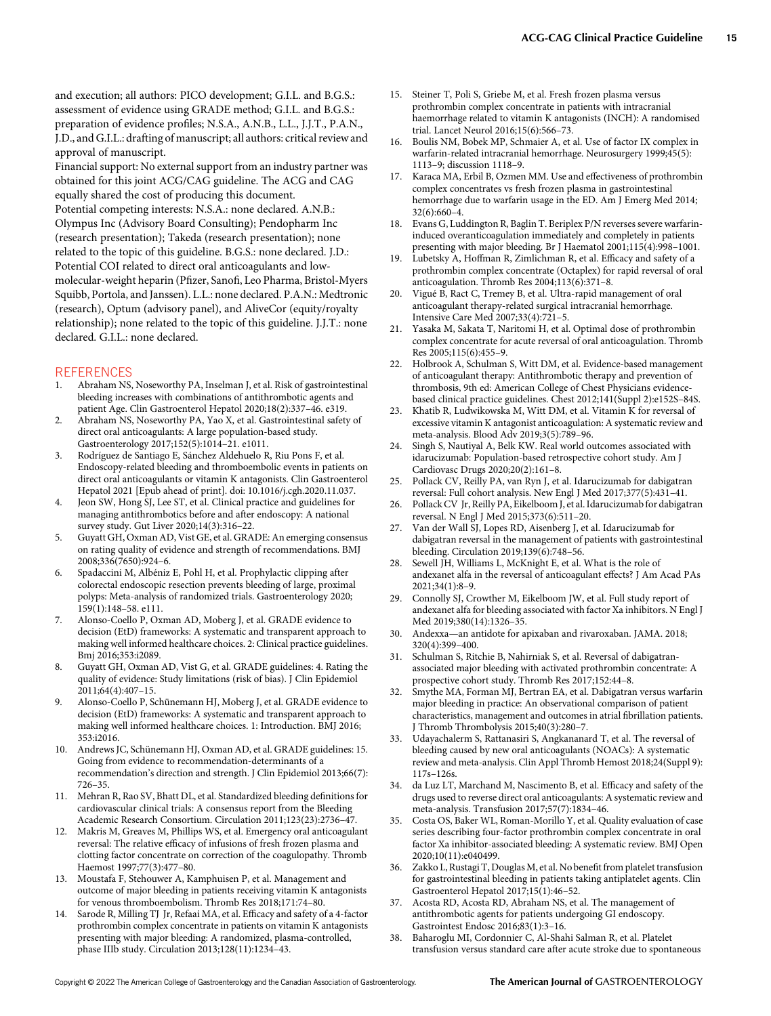and execution; all authors: PICO development; G.I.L. and B.G.S.: assessment of evidence using GRADE method; G.I.L. and B.G.S.: preparation of evidence profiles; N.S.A., A.N.B., L.L., J.J.T., P.A.N., J.D., and G.I.L.: drafting of manuscript; all authors: critical review and approval of manuscript.

Financial support: No external support from an industry partner was obtained for this joint ACG/CAG guideline. The ACG and CAG equally shared the cost of producing this document. Potential competing interests: N.S.A.: none declared. A.N.B.: Olympus Inc (Advisory Board Consulting); Pendopharm Inc (research presentation); Takeda (research presentation); none related to the topic of this guideline. B.G.S.: none declared. J.D.: Potential COI related to direct oral anticoagulants and lowmolecular-weight heparin (Pfizer, Sanofi, Leo Pharma, Bristol-Myers Squibb, Portola, and Janssen). L.L.: none declared. P.A.N.: Medtronic (research), Optum (advisory panel), and AliveCor (equity/royalty relationship); none related to the topic of this guideline. J.J.T.: none declared. G.I.L.: none declared.

## **REFERENCES**

- 1. Abraham NS, Noseworthy PA, Inselman J, et al. Risk of gastrointestinal bleeding increases with combinations of antithrombotic agents and patient Age. Clin Gastroenterol Hepatol 2020;18(2):337–46. e319.
- 2. Abraham NS, Noseworthy PA, Yao X, et al. Gastrointestinal safety of direct oral anticoagulants: A large population-based study. Gastroenterology 2017;152(5):1014–21. e1011.
- 3. Rodríguez de Santiago E, Sánchez Aldehuelo R, Riu Pons F, et al. Endoscopy-related bleeding and thromboembolic events in patients on direct oral anticoagulants or vitamin K antagonists. Clin Gastroenterol Hepatol 2021 [Epub ahead of print]. doi: 10.1016/j.cgh.2020.11.037.
- 4. Jeon SW, Hong SJ, Lee ST, et al. Clinical practice and guidelines for managing antithrombotics before and after endoscopy: A national survey study. Gut Liver 2020;14(3):316–22.
- 5. Guyatt GH, Oxman AD, Vist GE, et al. GRADE: An emerging consensus on rating quality of evidence and strength of recommendations. BMJ 2008;336(7650):924–6.
- 6. Spadaccini M, Albéniz E, Pohl H, et al. Prophylactic clipping after colorectal endoscopic resection prevents bleeding of large, proximal polyps: Meta-analysis of randomized trials. Gastroenterology 2020; 159(1):148–58. e111.
- 7. Alonso-Coello P, Oxman AD, Moberg J, et al. GRADE evidence to decision (EtD) frameworks: A systematic and transparent approach to making well informed healthcare choices. 2: Clinical practice guidelines. Bmj 2016;353:i2089.
- 8. Guyatt GH, Oxman AD, Vist G, et al. GRADE guidelines: 4. Rating the quality of evidence: Study limitations (risk of bias). J Clin Epidemiol 2011;64(4):407–15.
- 9. Alonso-Coello P, Schünemann HJ, Moberg J, et al. GRADE evidence to decision (EtD) frameworks: A systematic and transparent approach to making well informed healthcare choices. 1: Introduction. BMJ 2016; 353:i2016.
- 10. Andrews JC, Schünemann HJ, Oxman AD, et al. GRADE guidelines: 15. Going from evidence to recommendation-determinants of a recommendation's direction and strength. J Clin Epidemiol 2013;66(7): 726–35.
- 11. Mehran R, Rao SV, Bhatt DL, et al. Standardized bleeding definitions for cardiovascular clinical trials: A consensus report from the Bleeding Academic Research Consortium. Circulation 2011;123(23):2736–47.
- 12. Makris M, Greaves M, Phillips WS, et al. Emergency oral anticoagulant reversal: The relative efficacy of infusions of fresh frozen plasma and clotting factor concentrate on correction of the coagulopathy. Thromb Haemost 1997;77(3):477–80.
- 13. Moustafa F, Stehouwer A, Kamphuisen P, et al. Management and outcome of major bleeding in patients receiving vitamin K antagonists for venous thromboembolism. Thromb Res 2018;171:74–80.
- Sarode R, Milling TJ Jr, Refaai MA, et al. Efficacy and safety of a 4-factor prothrombin complex concentrate in patients on vitamin K antagonists presenting with major bleeding: A randomized, plasma-controlled, phase IIIb study. Circulation 2013;128(11):1234–43.
- 15. Steiner T, Poli S, Griebe M, et al. Fresh frozen plasma versus prothrombin complex concentrate in patients with intracranial haemorrhage related to vitamin K antagonists (INCH): A randomised trial. Lancet Neurol 2016;15(6):566–73.
- 16. Boulis NM, Bobek MP, Schmaier A, et al. Use of factor IX complex in warfarin-related intracranial hemorrhage. Neurosurgery 1999;45(5): 1113–9; discussion 1118–9.
- 17. Karaca MA, Erbil B, Ozmen MM. Use and effectiveness of prothrombin complex concentrates vs fresh frozen plasma in gastrointestinal hemorrhage due to warfarin usage in the ED. Am J Emerg Med 2014; 32(6):660–4.
- 18. Evans G, Luddington R, Baglin T. Beriplex P/N reverses severe warfarininduced overanticoagulation immediately and completely in patients presenting with major bleeding. Br J Haematol 2001;115(4):998–1001.
- 19. Lubetsky A, Hoffman R, Zimlichman R, et al. Efficacy and safety of a prothrombin complex concentrate (Octaplex) for rapid reversal of oral anticoagulation. Thromb Res 2004;113(6):371–8.
- 20. Vigué B, Ract C, Tremey B, et al. Ultra-rapid management of oral anticoagulant therapy-related surgical intracranial hemorrhage. Intensive Care Med 2007;33(4):721–5.
- 21. Yasaka M, Sakata T, Naritomi H, et al. Optimal dose of prothrombin complex concentrate for acute reversal of oral anticoagulation. Thromb Res 2005;115(6):455–9.
- 22. Holbrook A, Schulman S, Witt DM, et al. Evidence-based management of anticoagulant therapy: Antithrombotic therapy and prevention of thrombosis, 9th ed: American College of Chest Physicians evidencebased clinical practice guidelines. Chest 2012;141(Suppl 2):e152S–84S.
- 23. Khatib R, Ludwikowska M, Witt DM, et al. Vitamin K for reversal of excessive vitamin K antagonist anticoagulation: A systematic review and meta-analysis. Blood Adv 2019;3(5):789–96.
- 24. Singh S, Nautiyal A, Belk KW. Real world outcomes associated with idarucizumab: Population-based retrospective cohort study. Am J Cardiovasc Drugs 2020;20(2):161–8.
- 25. Pollack CV, Reilly PA, van Ryn J, et al. Idarucizumab for dabigatran reversal: Full cohort analysis. New Engl J Med 2017;377(5):431–41.
- 26. Pollack CV Jr, Reilly PA, Eikelboom J, et al. Idarucizumab for dabigatran reversal. N Engl J Med 2015;373(6):511–20.
- 27. Van der Wall SJ, Lopes RD, Aisenberg J, et al. Idarucizumab for dabigatran reversal in the management of patients with gastrointestinal bleeding. Circulation 2019;139(6):748–56.
- 28. Sewell JH, Williams L, McKnight E, et al. What is the role of andexanet alfa in the reversal of anticoagulant effects? J Am Acad PAs 2021;34(1):8–9.
- 29. Connolly SJ, Crowther M, Eikelboom JW, et al. Full study report of andexanet alfa for bleeding associated with factor Xa inhibitors. N Engl J Med 2019;380(14):1326–35.
- 30. Andexxa—an antidote for apixaban and rivaroxaban. JAMA. 2018; 320(4):399–400.
- 31. Schulman S, Ritchie B, Nahirniak S, et al. Reversal of dabigatranassociated major bleeding with activated prothrombin concentrate: A prospective cohort study. Thromb Res 2017;152:44–8.
- 32. Smythe MA, Forman MJ, Bertran EA, et al. Dabigatran versus warfarin major bleeding in practice: An observational comparison of patient characteristics, management and outcomes in atrial fibrillation patients. J Thromb Thrombolysis 2015;40(3):280–7.
- 33. Udayachalerm S, Rattanasiri S, Angkananard T, et al. The reversal of bleeding caused by new oral anticoagulants (NOACs): A systematic review and meta-analysis. Clin Appl Thromb Hemost 2018;24(Suppl 9): 117s–126s.
- 34. da Luz LT, Marchand M, Nascimento B, et al. Efficacy and safety of the drugs used to reverse direct oral anticoagulants: A systematic review and meta-analysis. Transfusion 2017;57(7):1834–46.
- 35. Costa OS, Baker WL, Roman-Morillo Y, et al. Quality evaluation of case series describing four-factor prothrombin complex concentrate in oral factor Xa inhibitor-associated bleeding: A systematic review. BMJ Open 2020;10(11):e040499.
- 36. Zakko L, Rustagi T, Douglas M, et al. No benefit from platelet transfusion for gastrointestinal bleeding in patients taking antiplatelet agents. Clin Gastroenterol Hepatol 2017;15(1):46–52.
- 37. Acosta RD, Acosta RD, Abraham NS, et al. The management of antithrombotic agents for patients undergoing GI endoscopy. Gastrointest Endosc 2016;83(1):3–16.
- 38. Baharoglu MI, Cordonnier C, Al-Shahi Salman R, et al. Platelet transfusion versus standard care after acute stroke due to spontaneous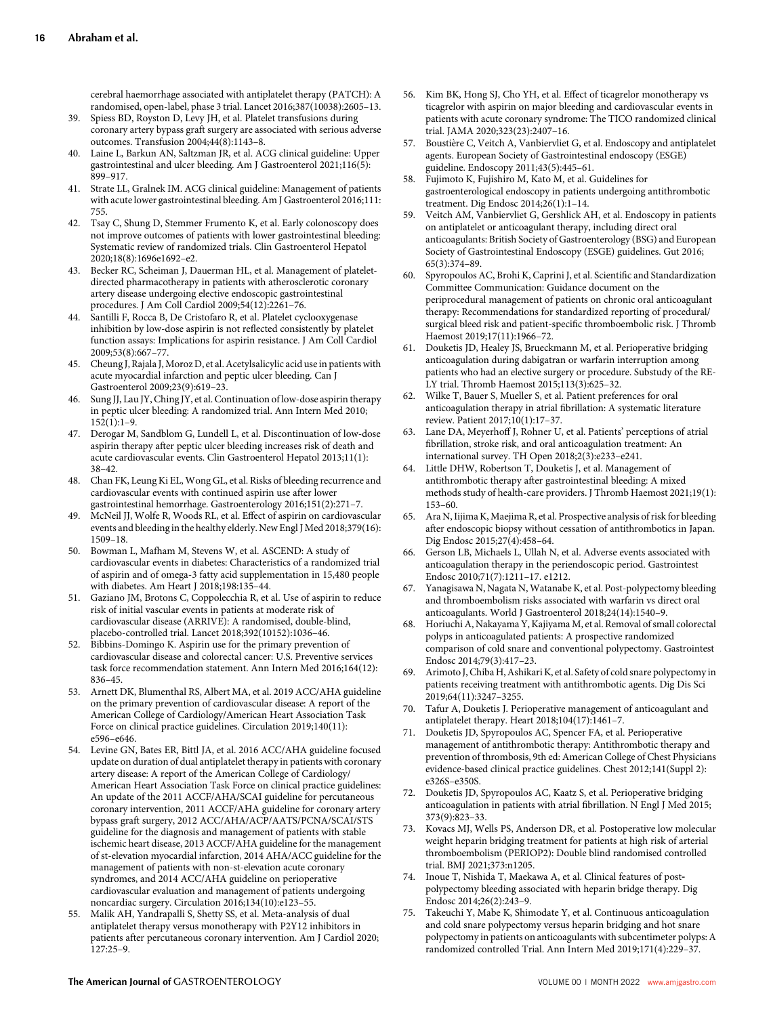cerebral haemorrhage associated with antiplatelet therapy (PATCH): A randomised, open-label, phase 3 trial. Lancet 2016;387(10038):2605–13.

- Spiess BD, Royston D, Levy JH, et al. Platelet transfusions during coronary artery bypass graft surgery are associated with serious adverse outcomes. Transfusion 2004;44(8):1143–8.
- 40. Laine L, Barkun AN, Saltzman JR, et al. ACG clinical guideline: Upper gastrointestinal and ulcer bleeding. Am J Gastroenterol 2021;116(5): 899–917.
- 41. Strate LL, Gralnek IM. ACG clinical guideline: Management of patients with acute lower gastrointestinal bleeding. Am J Gastroenterol 2016;111: 755.
- 42. Tsay C, Shung D, Stemmer Frumento K, et al. Early colonoscopy does not improve outcomes of patients with lower gastrointestinal bleeding: Systematic review of randomized trials. Clin Gastroenterol Hepatol 2020;18(8):1696e1692–e2.
- 43. Becker RC, Scheiman J, Dauerman HL, et al. Management of plateletdirected pharmacotherapy in patients with atherosclerotic coronary artery disease undergoing elective endoscopic gastrointestinal procedures. J Am Coll Cardiol 2009;54(12):2261–76.
- 44. Santilli F, Rocca B, De Cristofaro R, et al. Platelet cyclooxygenase inhibition by low-dose aspirin is not reflected consistently by platelet function assays: Implications for aspirin resistance. J Am Coll Cardiol 2009;53(8):667–77.
- 45. Cheung J, Rajala J, Moroz D, et al. Acetylsalicylic acid use in patients with acute myocardial infarction and peptic ulcer bleeding. Can J Gastroenterol 2009;23(9):619–23.
- 46. Sung JJ, Lau JY, Ching JY, et al. Continuation of low-dose aspirin therapy in peptic ulcer bleeding: A randomized trial. Ann Intern Med 2010; 152(1):1–9.
- 47. Derogar M, Sandblom G, Lundell L, et al. Discontinuation of low-dose aspirin therapy after peptic ulcer bleeding increases risk of death and acute cardiovascular events. Clin Gastroenterol Hepatol 2013;11(1): 38–42.
- 48. Chan FK, Leung Ki EL, Wong GL, et al. Risks of bleeding recurrence and cardiovascular events with continued aspirin use after lower gastrointestinal hemorrhage. Gastroenterology 2016;151(2):271–7.
- 49. McNeil JJ, Wolfe R, Woods RL, et al. Effect of aspirin on cardiovascular events and bleeding in the healthy elderly. New Engl J Med 2018;379(16): 1509–18.
- 50. Bowman L, Mafham M, Stevens W, et al. ASCEND: A study of cardiovascular events in diabetes: Characteristics of a randomized trial of aspirin and of omega-3 fatty acid supplementation in 15,480 people with diabetes. Am Heart J 2018;198:135–44.
- 51. Gaziano JM, Brotons C, Coppolecchia R, et al. Use of aspirin to reduce risk of initial vascular events in patients at moderate risk of cardiovascular disease (ARRIVE): A randomised, double-blind, placebo-controlled trial. Lancet 2018;392(10152):1036–46.
- 52. Bibbins-Domingo K. Aspirin use for the primary prevention of cardiovascular disease and colorectal cancer: U.S. Preventive services task force recommendation statement. Ann Intern Med 2016;164(12): 836–45.
- 53. Arnett DK, Blumenthal RS, Albert MA, et al. 2019 ACC/AHA guideline on the primary prevention of cardiovascular disease: A report of the American College of Cardiology/American Heart Association Task Force on clinical practice guidelines. Circulation 2019;140(11): e596–e646.
- 54. Levine GN, Bates ER, Bittl JA, et al. 2016 ACC/AHA guideline focused update on duration of dual antiplatelet therapy in patients with coronary artery disease: A report of the American College of Cardiology/ American Heart Association Task Force on clinical practice guidelines: An update of the 2011 ACCF/AHA/SCAI guideline for percutaneous coronary intervention, 2011 ACCF/AHA guideline for coronary artery bypass graft surgery, 2012 ACC/AHA/ACP/AATS/PCNA/SCAI/STS guideline for the diagnosis and management of patients with stable ischemic heart disease, 2013 ACCF/AHA guideline for the management of st-elevation myocardial infarction, 2014 AHA/ACC guideline for the management of patients with non-st-elevation acute coronary syndromes, and 2014 ACC/AHA guideline on perioperative cardiovascular evaluation and management of patients undergoing noncardiac surgery. Circulation 2016;134(10):e123–55.
- 55. Malik AH, Yandrapalli S, Shetty SS, et al. Meta-analysis of dual antiplatelet therapy versus monotherapy with P2Y12 inhibitors in patients after percutaneous coronary intervention. Am J Cardiol 2020; 127:25–9.
- 56. Kim BK, Hong SJ, Cho YH, et al. Effect of ticagrelor monotherapy vs ticagrelor with aspirin on major bleeding and cardiovascular events in patients with acute coronary syndrome: The TICO randomized clinical trial. JAMA 2020;323(23):2407–16.
- 57. Boustière C, Veitch A, Vanbiervliet G, et al. Endoscopy and antiplatelet agents. European Society of Gastrointestinal endoscopy (ESGE) guideline. Endoscopy 2011;43(5):445–61.
- 58. Fujimoto K, Fujishiro M, Kato M, et al. Guidelines for gastroenterological endoscopy in patients undergoing antithrombotic treatment. Dig Endosc 2014;26(1):1–14.
- 59. Veitch AM, Vanbiervliet G, Gershlick AH, et al. Endoscopy in patients on antiplatelet or anticoagulant therapy, including direct oral anticoagulants: British Society of Gastroenterology (BSG) and European Society of Gastrointestinal Endoscopy (ESGE) guidelines. Gut 2016; 65(3):374–89.
- 60. Spyropoulos AC, Brohi K, Caprini J, et al. Scientific and Standardization Committee Communication: Guidance document on the periprocedural management of patients on chronic oral anticoagulant therapy: Recommendations for standardized reporting of procedural/ surgical bleed risk and patient-specific thromboembolic risk. J Thromb Haemost 2019;17(11):1966–72.
- 61. Douketis JD, Healey JS, Brueckmann M, et al. Perioperative bridging anticoagulation during dabigatran or warfarin interruption among patients who had an elective surgery or procedure. Substudy of the RE-LY trial. Thromb Haemost 2015;113(3):625–32.
- 62. Wilke T, Bauer S, Mueller S, et al. Patient preferences for oral anticoagulation therapy in atrial fibrillation: A systematic literature review. Patient 2017;10(1):17–37.
- 63. Lane DA, Meyerhoff J, Rohner U, et al. Patients' perceptions of atrial fibrillation, stroke risk, and oral anticoagulation treatment: An international survey. TH Open 2018;2(3):e233–e241.
- 64. Little DHW, Robertson T, Douketis J, et al. Management of antithrombotic therapy after gastrointestinal bleeding: A mixed methods study of health-care providers. J Thromb Haemost 2021;19(1): 153–60.
- 65. Ara N, Iijima K, Maejima R, et al. Prospective analysis of risk for bleeding after endoscopic biopsy without cessation of antithrombotics in Japan. Dig Endosc 2015;27(4):458–64.
- Gerson LB, Michaels L, Ullah N, et al. Adverse events associated with anticoagulation therapy in the periendoscopic period. Gastrointest Endosc 2010;71(7):1211–17. e1212.
- Yanagisawa N, Nagata N, Watanabe K, et al. Post-polypectomy bleeding and thromboembolism risks associated with warfarin vs direct oral anticoagulants. World J Gastroenterol 2018;24(14):1540–9.
- 68. Horiuchi A, Nakayama Y, Kajiyama M, et al. Removal of small colorectal polyps in anticoagulated patients: A prospective randomized comparison of cold snare and conventional polypectomy. Gastrointest Endosc 2014;79(3):417–23.
- 69. Arimoto J, Chiba H, Ashikari K, et al. Safety of cold snare polypectomy in patients receiving treatment with antithrombotic agents. Dig Dis Sci 2019;64(11):3247–3255.
- 70. Tafur A, Douketis J. Perioperative management of anticoagulant and antiplatelet therapy. Heart 2018;104(17):1461–7.
- 71. Douketis JD, Spyropoulos AC, Spencer FA, et al. Perioperative management of antithrombotic therapy: Antithrombotic therapy and prevention of thrombosis, 9th ed: American College of Chest Physicians evidence-based clinical practice guidelines. Chest 2012;141(Suppl 2): e326S–e350S.
- 72. Douketis JD, Spyropoulos AC, Kaatz S, et al. Perioperative bridging anticoagulation in patients with atrial fibrillation. N Engl J Med 2015; 373(9):823–33.
- 73. Kovacs MJ, Wells PS, Anderson DR, et al. Postoperative low molecular weight heparin bridging treatment for patients at high risk of arterial thromboembolism (PERIOP2): Double blind randomised controlled trial. BMJ 2021;373:n1205.
- Inoue T, Nishida T, Maekawa A, et al. Clinical features of postpolypectomy bleeding associated with heparin bridge therapy. Dig Endosc 2014;26(2):243–9.
- 75. Takeuchi Y, Mabe K, Shimodate Y, et al. Continuous anticoagulation and cold snare polypectomy versus heparin bridging and hot snare polypectomy in patients on anticoagulants with subcentimeter polyps: A randomized controlled Trial. Ann Intern Med 2019;171(4):229–37.